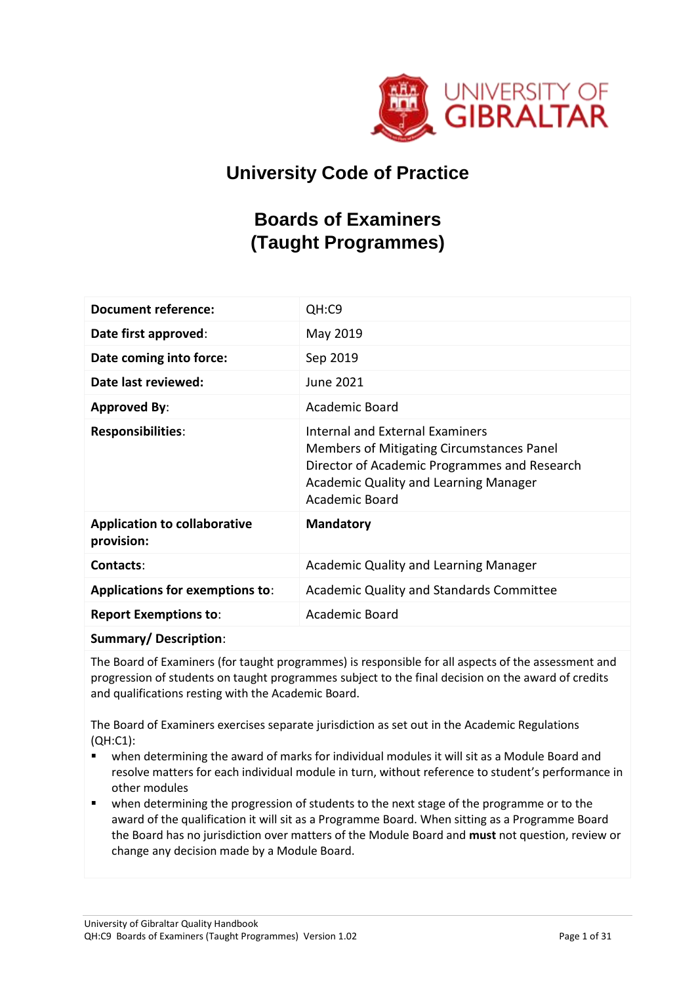

# **University Code of Practice**

# **Boards of Examiners (Taught Programmes)**

| <b>Document reference:</b>                        | QH:C9                                                                                                                                                                                                 |
|---------------------------------------------------|-------------------------------------------------------------------------------------------------------------------------------------------------------------------------------------------------------|
| Date first approved:                              | May 2019                                                                                                                                                                                              |
| Date coming into force:                           | Sep 2019                                                                                                                                                                                              |
| Date last reviewed:                               | June 2021                                                                                                                                                                                             |
| <b>Approved By:</b>                               | Academic Board                                                                                                                                                                                        |
| <b>Responsibilities:</b>                          | Internal and External Examiners<br>Members of Mitigating Circumstances Panel<br>Director of Academic Programmes and Research<br><b>Academic Quality and Learning Manager</b><br><b>Academic Board</b> |
| <b>Application to collaborative</b><br>provision: | <b>Mandatory</b>                                                                                                                                                                                      |
| Contacts:                                         | Academic Quality and Learning Manager                                                                                                                                                                 |
| <b>Applications for exemptions to:</b>            | Academic Quality and Standards Committee                                                                                                                                                              |
| <b>Report Exemptions to:</b>                      | Academic Board                                                                                                                                                                                        |
|                                                   |                                                                                                                                                                                                       |

**Summary/ Description**:

The Board of Examiners (for taught programmes) is responsible for all aspects of the assessment and progression of students on taught programmes subject to the final decision on the award of credits and qualifications resting with the Academic Board.

The Board of Examiners exercises separate jurisdiction as set out in the Academic Regulations (QH:C1):

- when determining the award of marks for individual modules it will sit as a Module Board and resolve matters for each individual module in turn, without reference to student's performance in other modules
- when determining the progression of students to the next stage of the programme or to the award of the qualification it will sit as a Programme Board. When sitting as a Programme Board the Board has no jurisdiction over matters of the Module Board and **must** not question, review or change any decision made by a Module Board.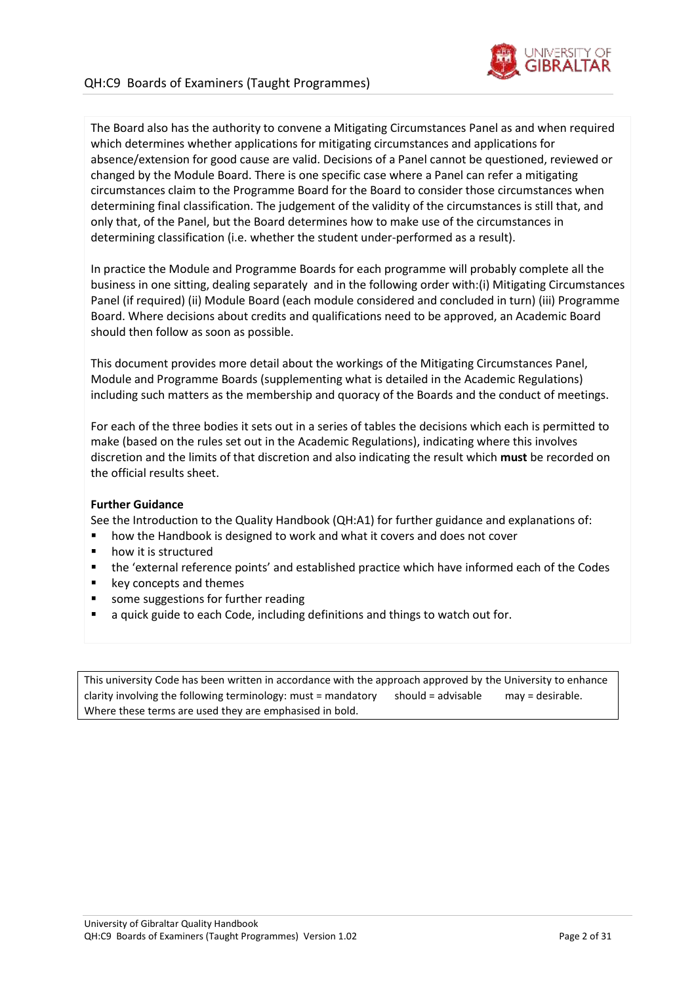

The Board also has the authority to convene a Mitigating Circumstances Panel as and when required which determines whether applications for mitigating circumstances and applications for absence/extension for good cause are valid. Decisions of a Panel cannot be questioned, reviewed or changed by the Module Board. There is one specific case where a Panel can refer a mitigating circumstances claim to the Programme Board for the Board to consider those circumstances when determining final classification. The judgement of the validity of the circumstances is still that, and only that, of the Panel, but the Board determines how to make use of the circumstances in determining classification (i.e. whether the student under-performed as a result).

In practice the Module and Programme Boards for each programme will probably complete all the business in one sitting, dealing separately and in the following order with:(i) Mitigating Circumstances Panel (if required) (ii) Module Board (each module considered and concluded in turn) (iii) Programme Board. Where decisions about credits and qualifications need to be approved, an Academic Board should then follow as soon as possible.

This document provides more detail about the workings of the Mitigating Circumstances Panel, Module and Programme Boards (supplementing what is detailed in the Academic Regulations) including such matters as the membership and quoracy of the Boards and the conduct of meetings.

For each of the three bodies it sets out in a series of tables the decisions which each is permitted to make (based on the rules set out in the Academic Regulations), indicating where this involves discretion and the limits of that discretion and also indicating the result which **must** be recorded on the official results sheet.

#### **Further Guidance**

See the Introduction to the Quality Handbook (QH:A1) for further guidance and explanations of:

- how the Handbook is designed to work and what it covers and does not cover
- how it is structured
- the 'external reference points' and established practice which have informed each of the Codes
- key concepts and themes
- some suggestions for further reading
- a quick guide to each Code, including definitions and things to watch out for.

This university Code has been written in accordance with the approach approved by the University to enhance clarity involving the following terminology: must = mandatory should = advisable may = desirable. Where these terms are used they are emphasised in bold.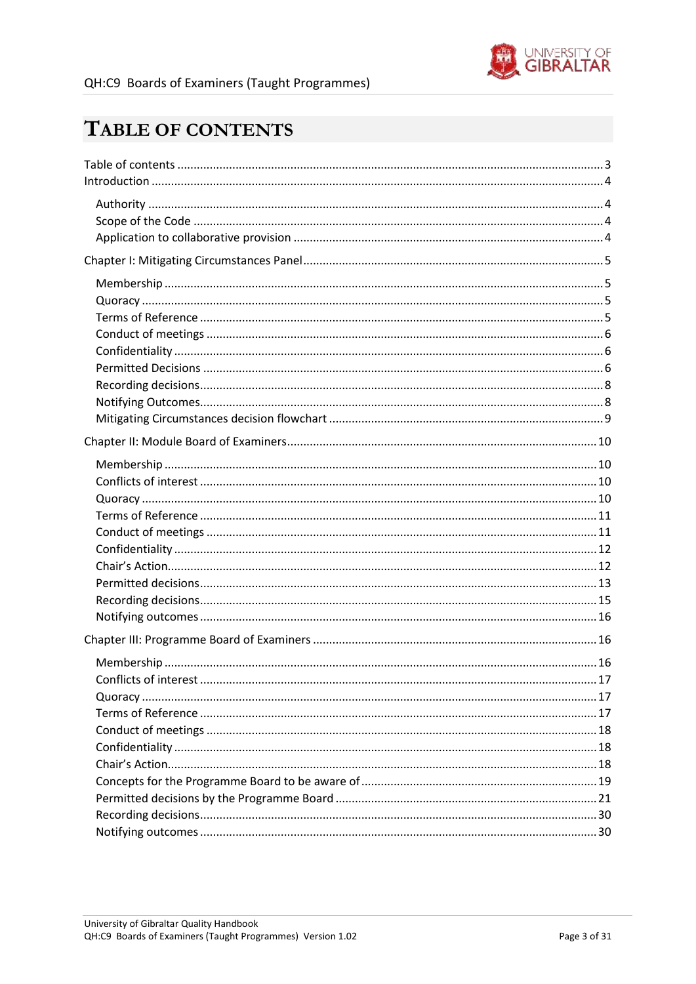

# <span id="page-2-0"></span>TABLE OF CONTENTS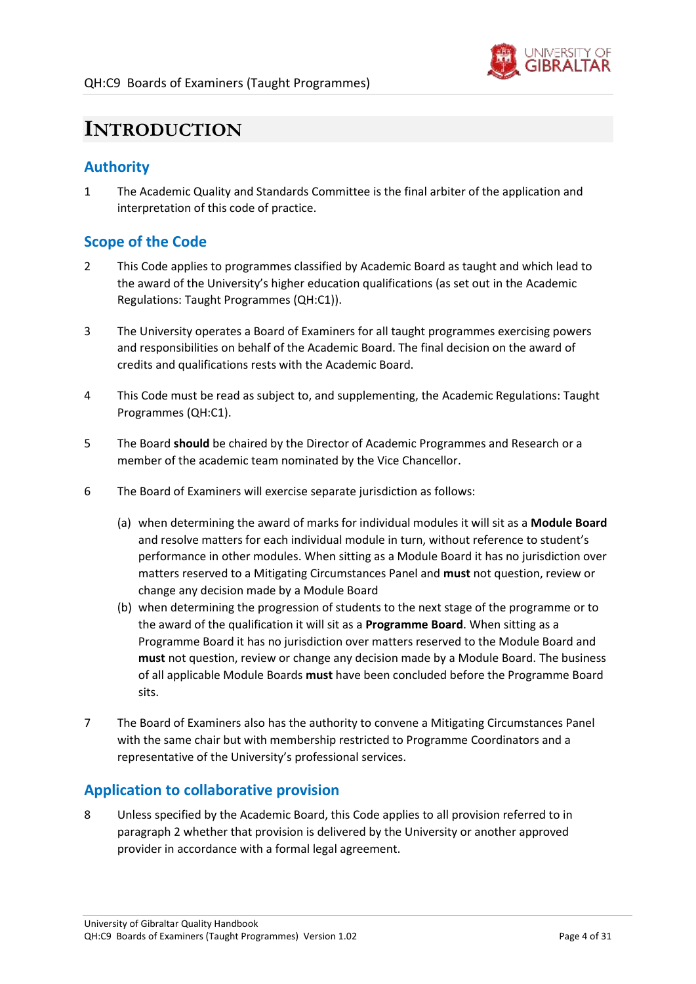

# <span id="page-3-0"></span>**INTRODUCTION**

# <span id="page-3-1"></span>**Authority**

1 The Academic Quality and Standards Committee is the final arbiter of the application and interpretation of this code of practice.

# <span id="page-3-2"></span>**Scope of the Code**

- <span id="page-3-4"></span>2 This Code applies to programmes classified by Academic Board as taught and which lead to the award of the University's higher education qualifications (as set out in the Academic Regulations: Taught Programmes (QH:C1)).
- 3 The University operates a Board of Examiners for all taught programmes exercising powers and responsibilities on behalf of the Academic Board. The final decision on the award of credits and qualifications rests with the Academic Board.
- 4 This Code must be read as subject to, and supplementing, the Academic Regulations: Taught Programmes (QH:C1).
- 5 The Board **should** be chaired by the Director of Academic Programmes and Research or a member of the academic team nominated by the Vice Chancellor.
- 6 The Board of Examiners will exercise separate jurisdiction as follows:
	- (a) when determining the award of marks for individual modules it will sit as a **Module Board** and resolve matters for each individual module in turn, without reference to student's performance in other modules. When sitting as a Module Board it has no jurisdiction over matters reserved to a Mitigating Circumstances Panel and **must** not question, review or change any decision made by a Module Board
	- (b) when determining the progression of students to the next stage of the programme or to the award of the qualification it will sit as a **Programme Board**. When sitting as a Programme Board it has no jurisdiction over matters reserved to the Module Board and **must** not question, review or change any decision made by a Module Board. The business of all applicable Module Boards **must** have been concluded before the Programme Board sits.
- 7 The Board of Examiners also has the authority to convene a Mitigating Circumstances Panel with the same chair but with membership restricted to Programme Coordinators and a representative of the University's professional services.

## <span id="page-3-3"></span>**Application to collaborative provision**

8 Unless specified by the Academic Board, this Code applies to all provision referred to in paragraph [2](#page-3-4) whether that provision is delivered by the University or another approved provider in accordance with a formal legal agreement.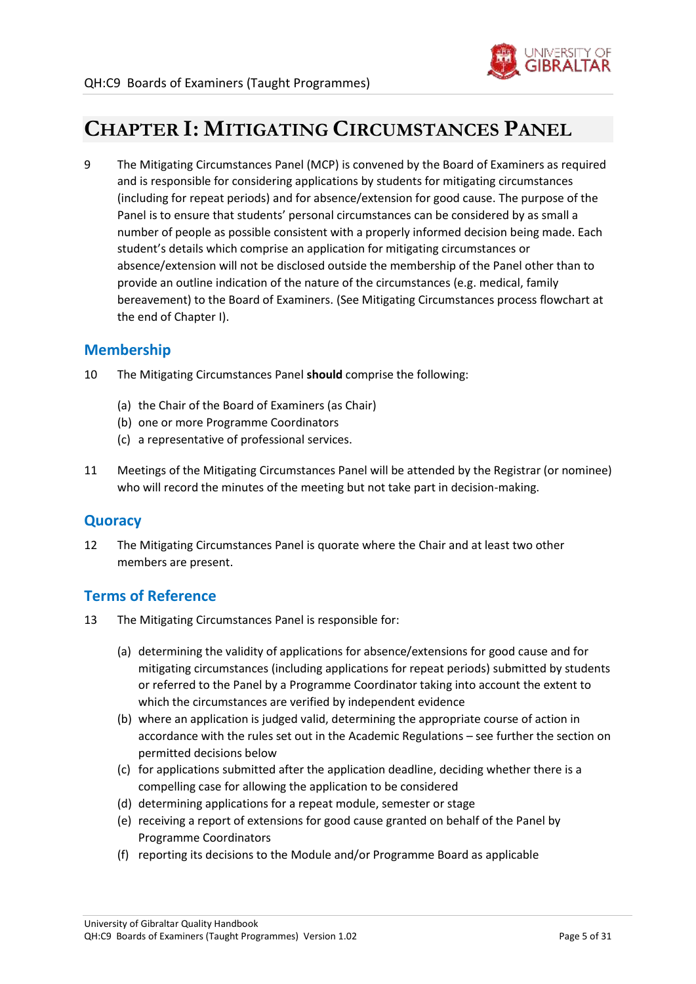

# <span id="page-4-0"></span>**CHAPTER I: MITIGATING CIRCUMSTANCES PANEL**

9 The Mitigating Circumstances Panel (MCP) is convened by the Board of Examiners as required and is responsible for considering applications by students for mitigating circumstances (including for repeat periods) and for absence/extension for good cause. The purpose of the Panel is to ensure that students' personal circumstances can be considered by as small a number of people as possible consistent with a properly informed decision being made. Each student's details which comprise an application for mitigating circumstances or absence/extension will not be disclosed outside the membership of the Panel other than to provide an outline indication of the nature of the circumstances (e.g. medical, family bereavement) to the Board of Examiners. (See Mitigating Circumstances process flowchart at the end of Chapter I).

### <span id="page-4-1"></span>**Membership**

- 10 The Mitigating Circumstances Panel **should** comprise the following:
	- (a) the Chair of the Board of Examiners (as Chair)
	- (b) one or more Programme Coordinators
	- (c) a representative of professional services.
- 11 Meetings of the Mitigating Circumstances Panel will be attended by the Registrar (or nominee) who will record the minutes of the meeting but not take part in decision-making.

### <span id="page-4-2"></span>**Quoracy**

12 The Mitigating Circumstances Panel is quorate where the Chair and at least two other members are present.

### <span id="page-4-3"></span>**Terms of Reference**

- 13 The Mitigating Circumstances Panel is responsible for:
	- (a) determining the validity of applications for absence/extensions for good cause and for mitigating circumstances (including applications for repeat periods) submitted by students or referred to the Panel by a Programme Coordinator taking into account the extent to which the circumstances are verified by independent evidence
	- (b) where an application is judged valid, determining the appropriate course of action in accordance with the rules set out in the Academic Regulations – see further the section on permitted decisions below
	- (c) for applications submitted after the application deadline, deciding whether there is a compelling case for allowing the application to be considered
	- (d) determining applications for a repeat module, semester or stage
	- (e) receiving a report of extensions for good cause granted on behalf of the Panel by Programme Coordinators
	- (f) reporting its decisions to the Module and/or Programme Board as applicable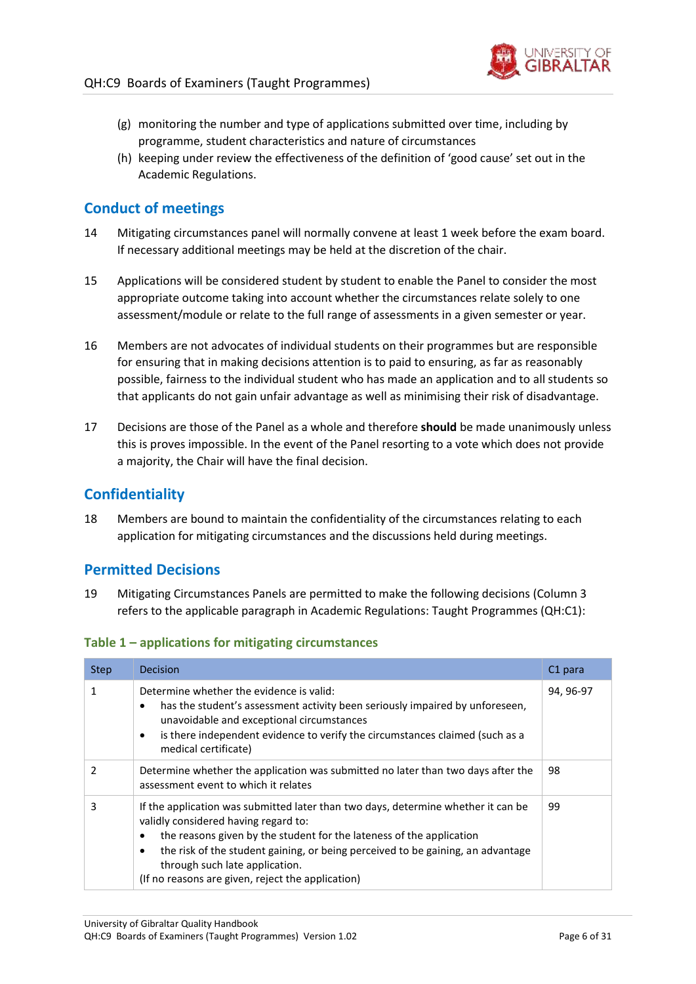

- (g) monitoring the number and type of applications submitted over time, including by programme, student characteristics and nature of circumstances
- (h) keeping under review the effectiveness of the definition of 'good cause' set out in the Academic Regulations.

## <span id="page-5-0"></span>**Conduct of meetings**

- 14 Mitigating circumstances panel will normally convene at least 1 week before the exam board. If necessary additional meetings may be held at the discretion of the chair.
- 15 Applications will be considered student by student to enable the Panel to consider the most appropriate outcome taking into account whether the circumstances relate solely to one assessment/module or relate to the full range of assessments in a given semester or year.
- 16 Members are not advocates of individual students on their programmes but are responsible for ensuring that in making decisions attention is to paid to ensuring, as far as reasonably possible, fairness to the individual student who has made an application and to all students so that applicants do not gain unfair advantage as well as minimising their risk of disadvantage.
- 17 Decisions are those of the Panel as a whole and therefore **should** be made unanimously unless this is proves impossible. In the event of the Panel resorting to a vote which does not provide a majority, the Chair will have the final decision.

### <span id="page-5-1"></span>**Confidentiality**

18 Members are bound to maintain the confidentiality of the circumstances relating to each application for mitigating circumstances and the discussions held during meetings.

### <span id="page-5-2"></span>**Permitted Decisions**

19 Mitigating Circumstances Panels are permitted to make the following decisions (Column 3 refers to the applicable paragraph in Academic Regulations: Taught Programmes (QH:C1):

| Table 1 - applications for mitigating circumstances |  |  |
|-----------------------------------------------------|--|--|
|-----------------------------------------------------|--|--|

| <b>Step</b>   | Decision                                                                                                                                                                                                                                                                                                                                                                                      | C <sub>1</sub> para |
|---------------|-----------------------------------------------------------------------------------------------------------------------------------------------------------------------------------------------------------------------------------------------------------------------------------------------------------------------------------------------------------------------------------------------|---------------------|
| 1             | Determine whether the evidence is valid:<br>has the student's assessment activity been seriously impaired by unforeseen,<br>$\bullet$<br>unavoidable and exceptional circumstances<br>is there independent evidence to verify the circumstances claimed (such as a<br>$\bullet$<br>medical certificate)                                                                                       | 94, 96-97           |
| $\mathcal{P}$ | Determine whether the application was submitted no later than two days after the<br>assessment event to which it relates                                                                                                                                                                                                                                                                      | 98                  |
| 3             | If the application was submitted later than two days, determine whether it can be<br>validly considered having regard to:<br>the reasons given by the student for the lateness of the application<br>$\bullet$<br>the risk of the student gaining, or being perceived to be gaining, an advantage<br>٠<br>through such late application.<br>(If no reasons are given, reject the application) | 99                  |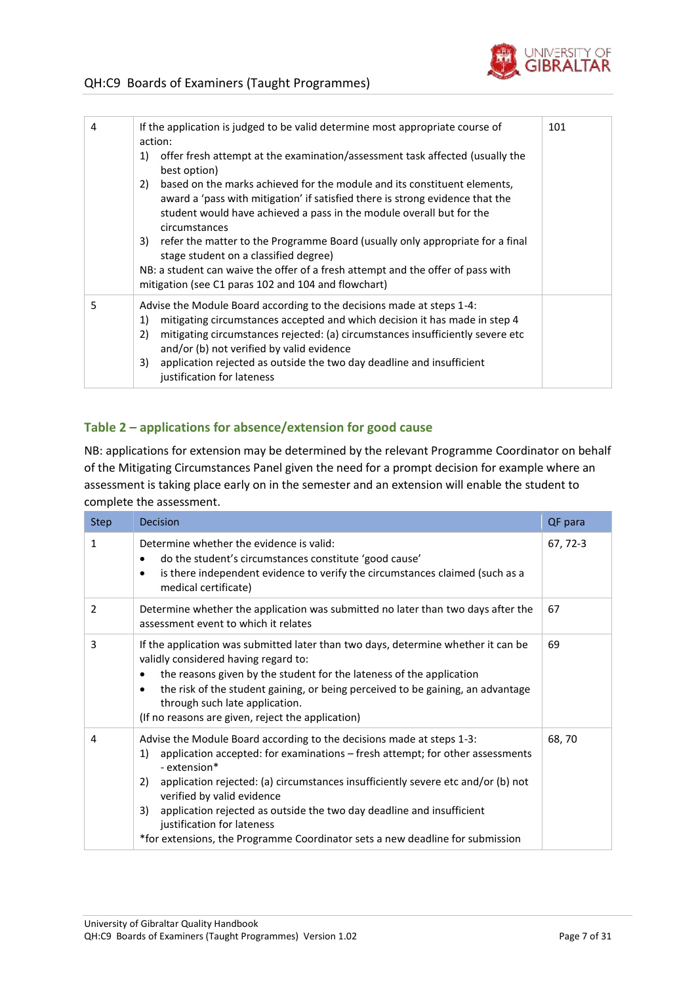

| 4 | If the application is judged to be valid determine most appropriate course of<br>action:<br>offer fresh attempt at the examination/assessment task affected (usually the<br>1)<br>best option)<br>based on the marks achieved for the module and its constituent elements,<br>2)<br>award a 'pass with mitigation' if satisfied there is strong evidence that the<br>student would have achieved a pass in the module overall but for the<br>circumstances<br>3) refer the matter to the Programme Board (usually only appropriate for a final<br>stage student on a classified degree)<br>NB: a student can waive the offer of a fresh attempt and the offer of pass with<br>mitigation (see C1 paras 102 and 104 and flowchart) | 101 |
|---|-----------------------------------------------------------------------------------------------------------------------------------------------------------------------------------------------------------------------------------------------------------------------------------------------------------------------------------------------------------------------------------------------------------------------------------------------------------------------------------------------------------------------------------------------------------------------------------------------------------------------------------------------------------------------------------------------------------------------------------|-----|
| 5 | Advise the Module Board according to the decisions made at steps 1-4:<br>mitigating circumstances accepted and which decision it has made in step 4<br>1)<br>mitigating circumstances rejected: (a) circumstances insufficiently severe etc<br>2)<br>and/or (b) not verified by valid evidence<br>application rejected as outside the two day deadline and insufficient<br>3)<br>justification for lateness                                                                                                                                                                                                                                                                                                                       |     |

#### **Table 2 – applications for absence/extension for good cause**

NB: applications for extension may be determined by the relevant Programme Coordinator on behalf of the Mitigating Circumstances Panel given the need for a prompt decision for example where an assessment is taking place early on in the semester and an extension will enable the student to complete the assessment.

| <b>Step</b> | Decision                                                                                                                                                                                                                                                                                                                                                                                                                                                                                           | QF para  |
|-------------|----------------------------------------------------------------------------------------------------------------------------------------------------------------------------------------------------------------------------------------------------------------------------------------------------------------------------------------------------------------------------------------------------------------------------------------------------------------------------------------------------|----------|
| 1           | Determine whether the evidence is valid:<br>do the student's circumstances constitute 'good cause'<br>٠<br>is there independent evidence to verify the circumstances claimed (such as a<br>$\bullet$<br>medical certificate)                                                                                                                                                                                                                                                                       | 67, 72-3 |
| 2           | Determine whether the application was submitted no later than two days after the<br>assessment event to which it relates                                                                                                                                                                                                                                                                                                                                                                           | 67       |
| 3           | If the application was submitted later than two days, determine whether it can be<br>validly considered having regard to:<br>the reasons given by the student for the lateness of the application<br>$\bullet$<br>the risk of the student gaining, or being perceived to be gaining, an advantage<br>$\bullet$<br>through such late application.<br>(If no reasons are given, reject the application)                                                                                              | 69       |
| 4           | Advise the Module Board according to the decisions made at steps 1-3:<br>application accepted: for examinations - fresh attempt; for other assessments<br>1)<br>- extension*<br>application rejected: (a) circumstances insufficiently severe etc and/or (b) not<br>2)<br>verified by valid evidence<br>application rejected as outside the two day deadline and insufficient<br>3)<br>justification for lateness<br>*for extensions, the Programme Coordinator sets a new deadline for submission | 68,70    |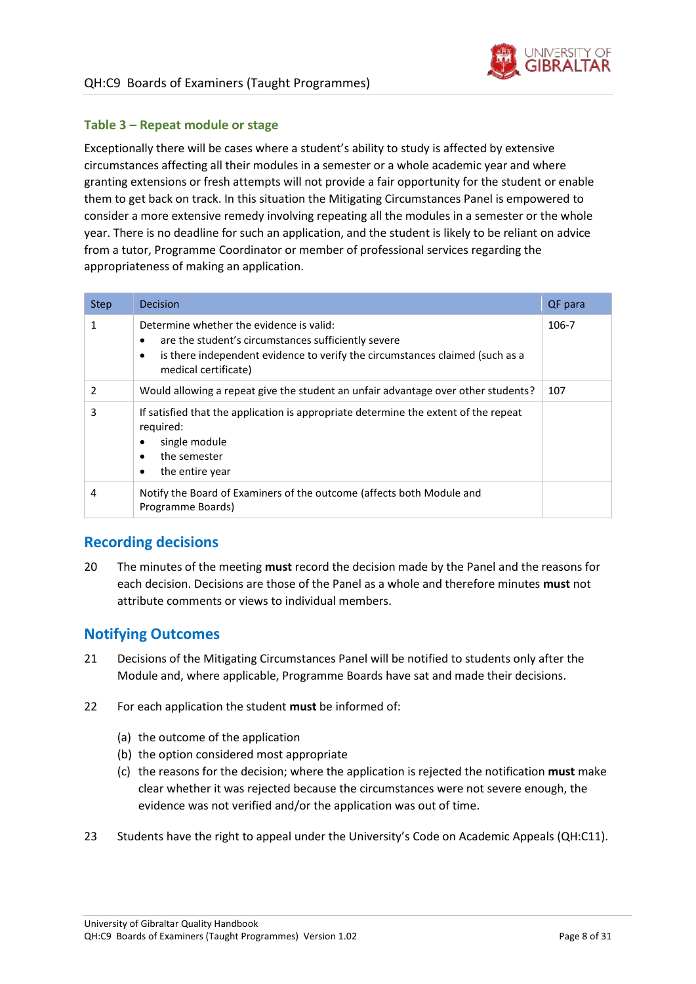

#### **Table 3 – Repeat module or stage**

Exceptionally there will be cases where a student's ability to study is affected by extensive circumstances affecting all their modules in a semester or a whole academic year and where granting extensions or fresh attempts will not provide a fair opportunity for the student or enable them to get back on track. In this situation the Mitigating Circumstances Panel is empowered to consider a more extensive remedy involving repeating all the modules in a semester or the whole year. There is no deadline for such an application, and the student is likely to be reliant on advice from a tutor, Programme Coordinator or member of professional services regarding the appropriateness of making an application.

| <b>Step</b> | Decision                                                                                                                                                                                                          | QF para |
|-------------|-------------------------------------------------------------------------------------------------------------------------------------------------------------------------------------------------------------------|---------|
| 1           | Determine whether the evidence is valid:<br>are the student's circumstances sufficiently severe<br>٠<br>is there independent evidence to verify the circumstances claimed (such as a<br>٠<br>medical certificate) | 106-7   |
| 2           | Would allowing a repeat give the student an unfair advantage over other students?                                                                                                                                 | 107     |
| 3           | If satisfied that the application is appropriate determine the extent of the repeat<br>required:<br>single module<br>٠<br>the semester<br>٠<br>the entire year                                                    |         |
| 4           | Notify the Board of Examiners of the outcome (affects both Module and<br>Programme Boards)                                                                                                                        |         |

## <span id="page-7-0"></span>**Recording decisions**

20 The minutes of the meeting **must** record the decision made by the Panel and the reasons for each decision. Decisions are those of the Panel as a whole and therefore minutes **must** not attribute comments or views to individual members.

## <span id="page-7-1"></span>**Notifying Outcomes**

- 21 Decisions of the Mitigating Circumstances Panel will be notified to students only after the Module and, where applicable, Programme Boards have sat and made their decisions.
- 22 For each application the student **must** be informed of:
	- (a) the outcome of the application
	- (b) the option considered most appropriate
	- (c) the reasons for the decision; where the application is rejected the notification **must** make clear whether it was rejected because the circumstances were not severe enough, the evidence was not verified and/or the application was out of time.
- 23 Students have the right to appeal under the University's Code on Academic Appeals (QH:C11).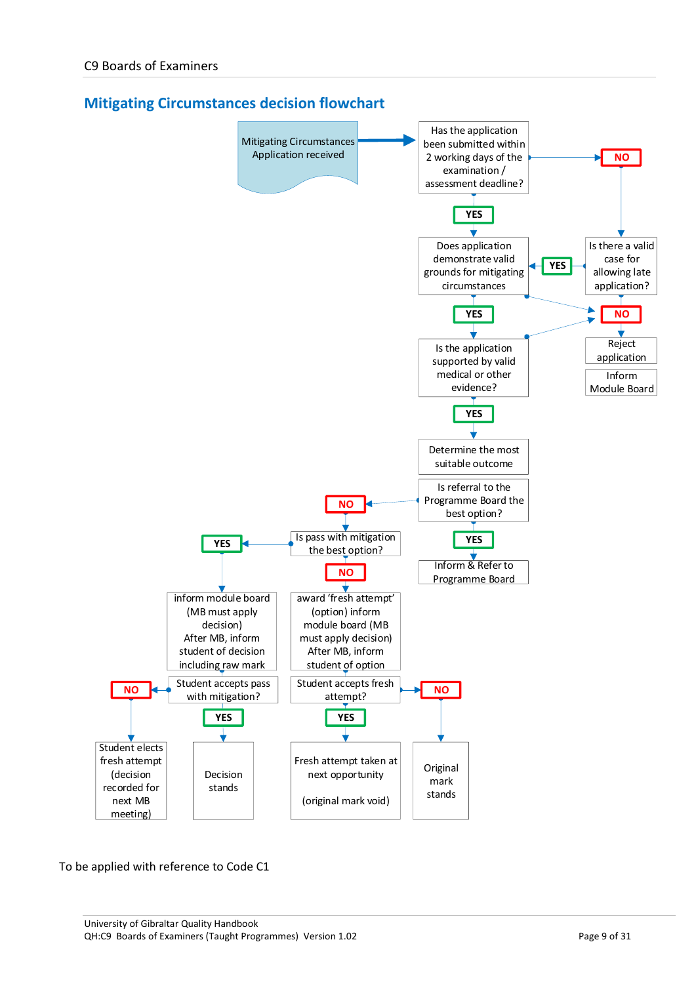<span id="page-8-0"></span>



To be applied with reference to Code C1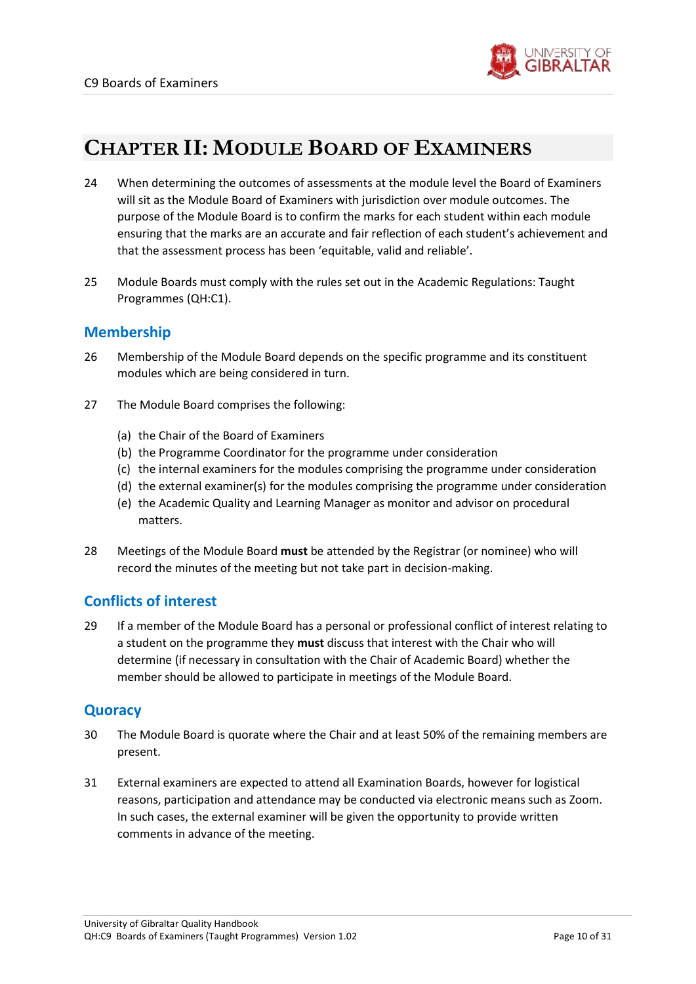

# <span id="page-9-0"></span>**CHAPTER II: MODULE BOARD OF EXAMINERS**

- 24 When determining the outcomes of assessments at the module level the Board of Examiners will sit as the Module Board of Examiners with jurisdiction over module outcomes. The purpose of the Module Board is to confirm the marks for each student within each module ensuring that the marks are an accurate and fair reflection of each student's achievement and that the assessment process has been 'equitable, valid and reliable'.
- 25 Module Boards must comply with the rules set out in the Academic Regulations: Taught Programmes (QH:C1).

### <span id="page-9-1"></span>**Membership**

- 26 Membership of the Module Board depends on the specific programme and its constituent modules which are being considered in turn.
- 27 The Module Board comprises the following:
	- (a) the Chair of the Board of Examiners
	- (b) the Programme Coordinator for the programme under consideration
	- (c) the internal examiners for the modules comprising the programme under consideration
	- (d) the external examiner(s) for the modules comprising the programme under consideration
	- (e) the Academic Quality and Learning Manager as monitor and advisor on procedural matters.
- 28 Meetings of the Module Board **must** be attended by the Registrar (or nominee) who will record the minutes of the meeting but not take part in decision-making.

## <span id="page-9-2"></span>**Conflicts of interest**

29 If a member of the Module Board has a personal or professional conflict of interest relating to a student on the programme they **must** discuss that interest with the Chair who will determine (if necessary in consultation with the Chair of Academic Board) whether the member should be allowed to participate in meetings of the Module Board.

## <span id="page-9-3"></span>**Quoracy**

- 30 The Module Board is quorate where the Chair and at least 50% of the remaining members are present.
- 31 External examiners are expected to attend all Examination Boards, however for logistical reasons, participation and attendance may be conducted via electronic means such as Zoom. In such cases, the external examiner will be given the opportunity to provide written comments in advance of the meeting.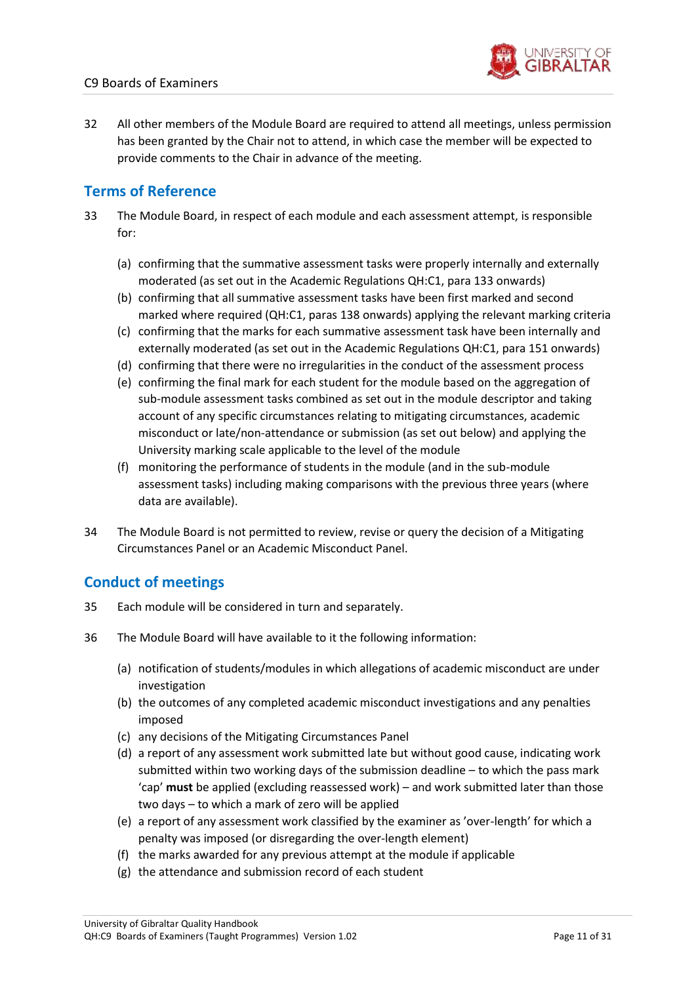

32 All other members of the Module Board are required to attend all meetings, unless permission has been granted by the Chair not to attend, in which case the member will be expected to provide comments to the Chair in advance of the meeting.

## <span id="page-10-0"></span>**Terms of Reference**

- 33 The Module Board, in respect of each module and each assessment attempt, is responsible for:
	- (a) confirming that the summative assessment tasks were properly internally and externally moderated (as set out in the Academic Regulations QH:C1, para 133 onwards)
	- (b) confirming that all summative assessment tasks have been first marked and second marked where required (QH:C1, paras 138 onwards) applying the relevant marking criteria
	- (c) confirming that the marks for each summative assessment task have been internally and externally moderated (as set out in the Academic Regulations QH:C1, para 151 onwards)
	- (d) confirming that there were no irregularities in the conduct of the assessment process
	- (e) confirming the final mark for each student for the module based on the aggregation of sub-module assessment tasks combined as set out in the module descriptor and taking account of any specific circumstances relating to mitigating circumstances, academic misconduct or late/non-attendance or submission (as set out below) and applying the University marking scale applicable to the level of the module
	- (f) monitoring the performance of students in the module (and in the sub-module assessment tasks) including making comparisons with the previous three years (where data are available).
- 34 The Module Board is not permitted to review, revise or query the decision of a Mitigating Circumstances Panel or an Academic Misconduct Panel.

## <span id="page-10-1"></span>**Conduct of meetings**

- 35 Each module will be considered in turn and separately.
- 36 The Module Board will have available to it the following information:
	- (a) notification of students/modules in which allegations of academic misconduct are under investigation
	- (b) the outcomes of any completed academic misconduct investigations and any penalties imposed
	- (c) any decisions of the Mitigating Circumstances Panel
	- (d) a report of any assessment work submitted late but without good cause, indicating work submitted within two working days of the submission deadline – to which the pass mark 'cap' **must** be applied (excluding reassessed work) – and work submitted later than those two days – to which a mark of zero will be applied
	- (e) a report of any assessment work classified by the examiner as 'over-length' for which a penalty was imposed (or disregarding the over-length element)
	- (f) the marks awarded for any previous attempt at the module if applicable
	- (g) the attendance and submission record of each student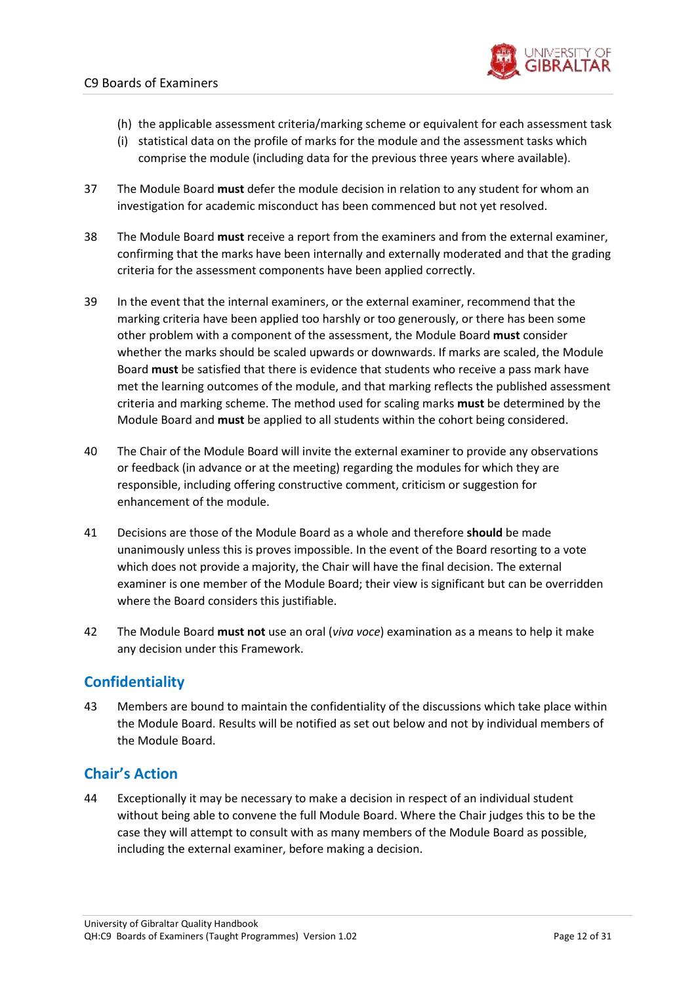

- (h) the applicable assessment criteria/marking scheme or equivalent for each assessment task
- (i) statistical data on the profile of marks for the module and the assessment tasks which comprise the module (including data for the previous three years where available).
- 37 The Module Board **must** defer the module decision in relation to any student for whom an investigation for academic misconduct has been commenced but not yet resolved.
- 38 The Module Board **must** receive a report from the examiners and from the external examiner, confirming that the marks have been internally and externally moderated and that the grading criteria for the assessment components have been applied correctly.
- 39 In the event that the internal examiners, or the external examiner, recommend that the marking criteria have been applied too harshly or too generously, or there has been some other problem with a component of the assessment, the Module Board **must** consider whether the marks should be scaled upwards or downwards. If marks are scaled, the Module Board **must** be satisfied that there is evidence that students who receive a pass mark have met the learning outcomes of the module, and that marking reflects the published assessment criteria and marking scheme. The method used for scaling marks **must** be determined by the Module Board and **must** be applied to all students within the cohort being considered.
- 40 The Chair of the Module Board will invite the external examiner to provide any observations or feedback (in advance or at the meeting) regarding the modules for which they are responsible, including offering constructive comment, criticism or suggestion for enhancement of the module.
- 41 Decisions are those of the Module Board as a whole and therefore **should** be made unanimously unless this is proves impossible. In the event of the Board resorting to a vote which does not provide a majority, the Chair will have the final decision. The external examiner is one member of the Module Board; their view is significant but can be overridden where the Board considers this justifiable.
- 42 The Module Board **must not** use an oral (*viva voce*) examination as a means to help it make any decision under this Framework.

# <span id="page-11-0"></span>**Confidentiality**

43 Members are bound to maintain the confidentiality of the discussions which take place within the Module Board. Results will be notified as set out below and not by individual members of the Module Board.

### <span id="page-11-1"></span>**Chair's Action**

44 Exceptionally it may be necessary to make a decision in respect of an individual student without being able to convene the full Module Board. Where the Chair judges this to be the case they will attempt to consult with as many members of the Module Board as possible, including the external examiner, before making a decision.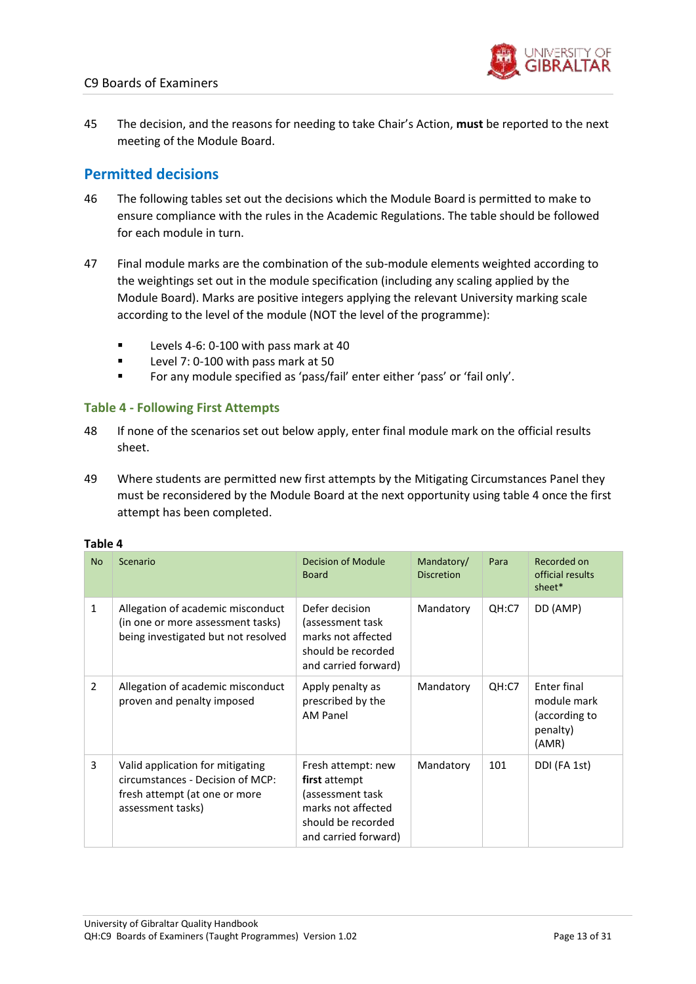

45 The decision, and the reasons for needing to take Chair's Action, **must** be reported to the next meeting of the Module Board.

### <span id="page-12-0"></span>**Permitted decisions**

- 46 The following tables set out the decisions which the Module Board is permitted to make to ensure compliance with the rules in the Academic Regulations. The table should be followed for each module in turn.
- 47 Final module marks are the combination of the sub-module elements weighted according to the weightings set out in the module specification (including any scaling applied by the Module Board). Marks are positive integers applying the relevant University marking scale according to the level of the module (NOT the level of the programme):
	- Levels 4-6: 0-100 with pass mark at 40
	- Level 7: 0-100 with pass mark at 50
	- For any module specified as 'pass/fail' enter either 'pass' or 'fail only'.

#### **Table 4 - Following First Attempts**

- 48 If none of the scenarios set out below apply, enter final module mark on the official results sheet.
- 49 Where students are permitted new first attempts by the Mitigating Circumstances Panel they must be reconsidered by the Module Board at the next opportunity using table 4 once the first attempt has been completed.

#### **Table 4**

| <b>No</b>    | Scenario                                                                                                                   | <b>Decision of Module</b><br><b>Board</b>                                                                                   | Mandatory/<br><b>Discretion</b> | Para  | Recorded on<br>official results<br>sheet*                        |
|--------------|----------------------------------------------------------------------------------------------------------------------------|-----------------------------------------------------------------------------------------------------------------------------|---------------------------------|-------|------------------------------------------------------------------|
| $\mathbf{1}$ | Allegation of academic misconduct<br>(in one or more assessment tasks)<br>being investigated but not resolved              | Defer decision<br>(assessment task<br>marks not affected<br>should be recorded<br>and carried forward)                      | Mandatory                       | QH:C7 | DD (AMP)                                                         |
| 2            | Allegation of academic misconduct<br>proven and penalty imposed                                                            | Apply penalty as<br>prescribed by the<br>AM Panel                                                                           | Mandatory                       | QH:C7 | Enter final<br>module mark<br>(according to<br>penalty)<br>(AMR) |
| 3            | Valid application for mitigating<br>circumstances - Decision of MCP:<br>fresh attempt (at one or more<br>assessment tasks) | Fresh attempt: new<br>first attempt<br>(assessment task<br>marks not affected<br>should be recorded<br>and carried forward) | Mandatory                       | 101   | DDI (FA 1st)                                                     |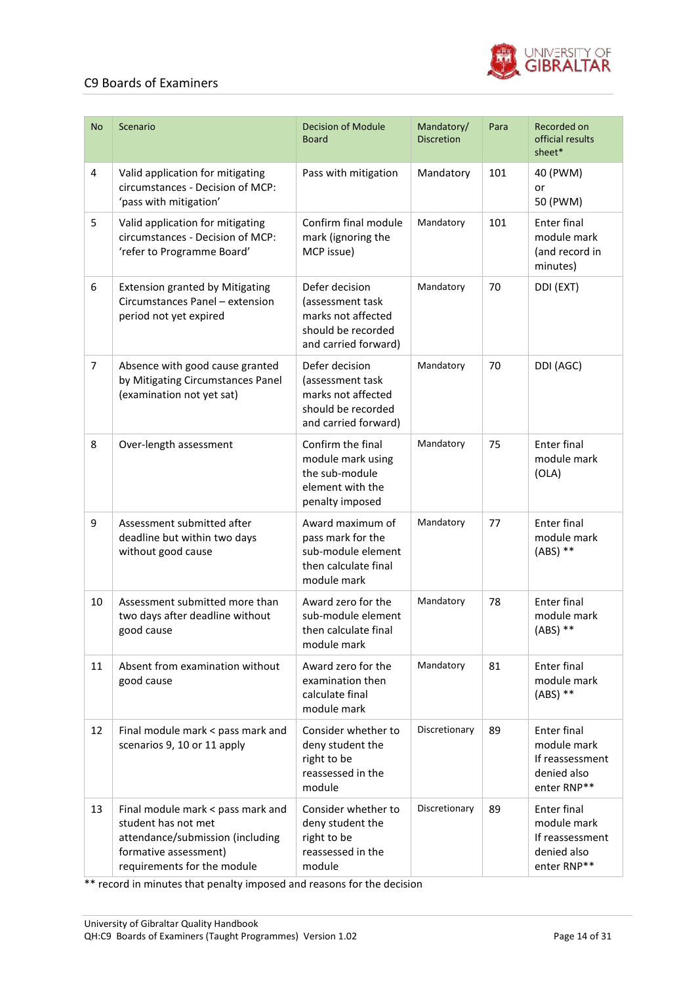

| <b>No</b> | Scenario                                                                                                                                             | <b>Decision of Module</b><br><b>Board</b>                                                              | Mandatory/<br><b>Discretion</b> | Para | Recorded on<br>official results<br>sheet*                                          |
|-----------|------------------------------------------------------------------------------------------------------------------------------------------------------|--------------------------------------------------------------------------------------------------------|---------------------------------|------|------------------------------------------------------------------------------------|
| 4         | Valid application for mitigating<br>circumstances - Decision of MCP:<br>'pass with mitigation'                                                       | Pass with mitigation                                                                                   | Mandatory                       | 101  | 40 (PWM)<br>or<br>50 (PWM)                                                         |
| 5         | Valid application for mitigating<br>circumstances - Decision of MCP:<br>'refer to Programme Board'                                                   | Confirm final module<br>mark (ignoring the<br>MCP issue)                                               | Mandatory                       | 101  | Enter final<br>module mark<br>(and record in<br>minutes)                           |
| 6         | <b>Extension granted by Mitigating</b><br>Circumstances Panel - extension<br>period not yet expired                                                  | Defer decision<br>(assessment task<br>marks not affected<br>should be recorded<br>and carried forward) | Mandatory                       | 70   | DDI (EXT)                                                                          |
| 7         | Absence with good cause granted<br>by Mitigating Circumstances Panel<br>(examination not yet sat)                                                    | Defer decision<br>(assessment task<br>marks not affected<br>should be recorded<br>and carried forward) | Mandatory                       | 70   | DDI (AGC)                                                                          |
| 8         | Over-length assessment                                                                                                                               | Confirm the final<br>module mark using<br>the sub-module<br>element with the<br>penalty imposed        | Mandatory                       | 75   | <b>Enter final</b><br>module mark<br>(OLA)                                         |
| 9         | Assessment submitted after<br>deadline but within two days<br>without good cause                                                                     | Award maximum of<br>pass mark for the<br>sub-module element<br>then calculate final<br>module mark     | Mandatory                       | 77   | <b>Enter final</b><br>module mark<br>$(ABS)$ **                                    |
| 10        | Assessment submitted more than<br>two days after deadline without<br>good cause                                                                      | Award zero for the<br>sub-module element<br>then calculate final<br>module mark                        | Mandatory                       | 78   | <b>Enter final</b><br>module mark<br>$(ABS)$ **                                    |
| 11        | Absent from examination without<br>good cause                                                                                                        | Award zero for the<br>examination then<br>calculate final<br>module mark                               | Mandatory                       | 81   | <b>Enter final</b><br>module mark<br>$(ABS)$ **                                    |
| 12        | Final module mark < pass mark and<br>scenarios 9, 10 or 11 apply                                                                                     | Consider whether to<br>deny student the<br>right to be<br>reassessed in the<br>module                  | Discretionary                   | 89   | <b>Enter final</b><br>module mark<br>If reassessment<br>denied also<br>enter RNP** |
| 13        | Final module mark < pass mark and<br>student has not met<br>attendance/submission (including<br>formative assessment)<br>requirements for the module | Consider whether to<br>deny student the<br>right to be<br>reassessed in the<br>module                  | Discretionary                   | 89   | Enter final<br>module mark<br>If reassessment<br>denied also<br>enter RNP**        |

\*\* record in minutes that penalty imposed and reasons for the decision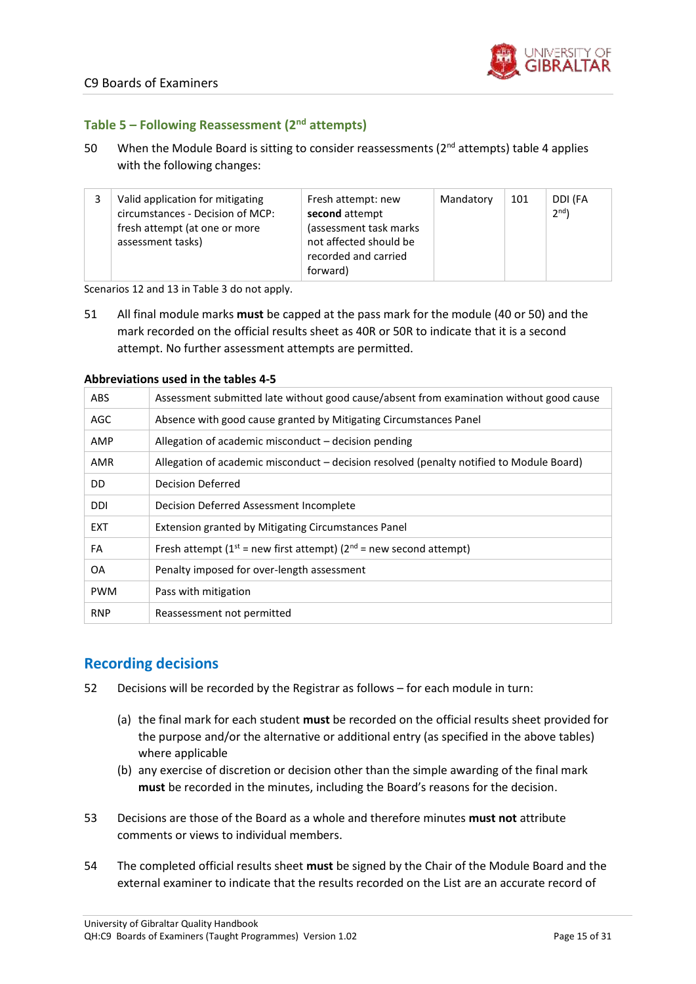

#### **Table 5 – Following Reassessment (2nd attempts)**

50 When the Module Board is sitting to consider reassessments ( $2<sup>nd</sup>$  attempts) table 4 applies with the following changes:

|  | Valid application for mitigating<br>circumstances - Decision of MCP:<br>fresh attempt (at one or more<br>assessment tasks) | Fresh attempt: new<br>second attempt<br>(assessment task marks<br>not affected should be<br>recorded and carried | Mandatory | 101 | DDI (FA<br>2 <sup>nd</sup> |
|--|----------------------------------------------------------------------------------------------------------------------------|------------------------------------------------------------------------------------------------------------------|-----------|-----|----------------------------|
|  |                                                                                                                            | forward)                                                                                                         |           |     |                            |

Scenarios 12 and 13 in Table 3 do not apply.

51 All final module marks **must** be capped at the pass mark for the module (40 or 50) and the mark recorded on the official results sheet as 40R or 50R to indicate that it is a second attempt. No further assessment attempts are permitted.

#### **Abbreviations used in the tables 4-5**

| <b>ABS</b> | Assessment submitted late without good cause/absent from examination without good cause  |
|------------|------------------------------------------------------------------------------------------|
| AGC        | Absence with good cause granted by Mitigating Circumstances Panel                        |
| AMP        | Allegation of academic misconduct – decision pending                                     |
| <b>AMR</b> | Allegation of academic misconduct – decision resolved (penalty notified to Module Board) |
| DD         | Decision Deferred                                                                        |
| DDI        | Decision Deferred Assessment Incomplete                                                  |
| <b>EXT</b> | Extension granted by Mitigating Circumstances Panel                                      |
| FA         | Fresh attempt ( $1^{st}$ = new first attempt) ( $2^{nd}$ = new second attempt)           |
| OA         | Penalty imposed for over-length assessment                                               |
| <b>PWM</b> | Pass with mitigation                                                                     |
| <b>RNP</b> | Reassessment not permitted                                                               |

### <span id="page-14-0"></span>**Recording decisions**

- 52 Decisions will be recorded by the Registrar as follows for each module in turn:
	- (a) the final mark for each student **must** be recorded on the official results sheet provided for the purpose and/or the alternative or additional entry (as specified in the above tables) where applicable
	- (b) any exercise of discretion or decision other than the simple awarding of the final mark **must** be recorded in the minutes, including the Board's reasons for the decision.
- 53 Decisions are those of the Board as a whole and therefore minutes **must not** attribute comments or views to individual members.
- 54 The completed official results sheet **must** be signed by the Chair of the Module Board and the external examiner to indicate that the results recorded on the List are an accurate record of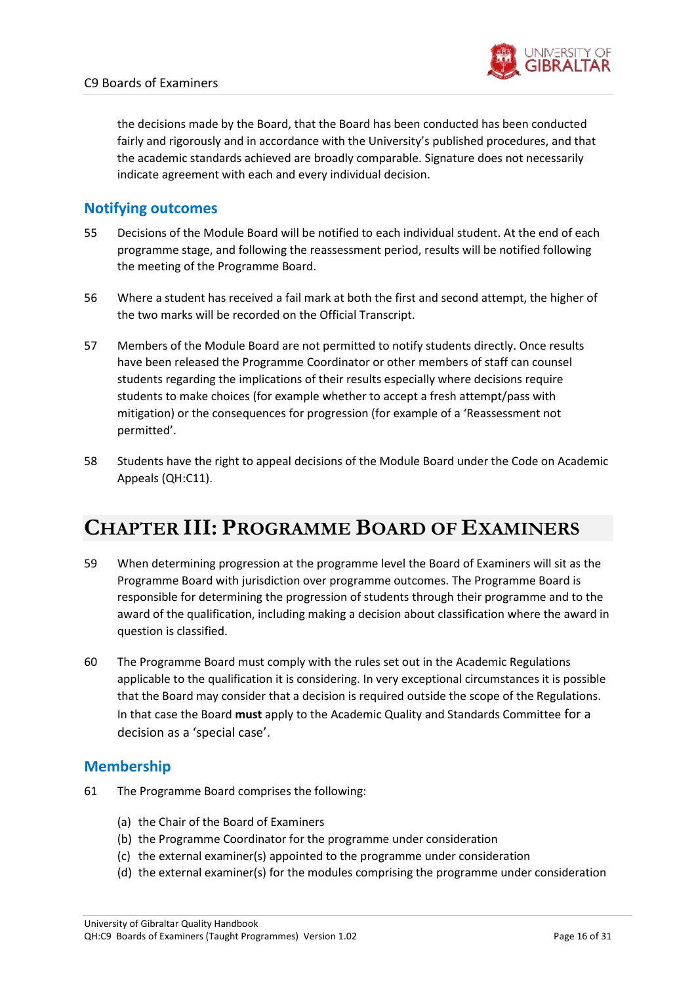

the decisions made by the Board, that the Board has been conducted has been conducted fairly and rigorously and in accordance with the University's published procedures, and that the academic standards achieved are broadly comparable. Signature does not necessarily indicate agreement with each and every individual decision.

### <span id="page-15-0"></span>**Notifying outcomes**

- 55 Decisions of the Module Board will be notified to each individual student. At the end of each programme stage, and following the reassessment period, results will be notified following the meeting of the Programme Board.
- 56 Where a student has received a fail mark at both the first and second attempt, the higher of the two marks will be recorded on the Official Transcript.
- 57 Members of the Module Board are not permitted to notify students directly. Once results have been released the Programme Coordinator or other members of staff can counsel students regarding the implications of their results especially where decisions require students to make choices (for example whether to accept a fresh attempt/pass with mitigation) or the consequences for progression (for example of a 'Reassessment not permitted'.
- 58 Students have the right to appeal decisions of the Module Board under the Code on Academic Appeals (QH:C11).

# <span id="page-15-1"></span>**CHAPTER III: PROGRAMME BOARD OF EXAMINERS**

- 59 When determining progression at the programme level the Board of Examiners will sit as the Programme Board with jurisdiction over programme outcomes. The Programme Board is responsible for determining the progression of students through their programme and to the award of the qualification, including making a decision about classification where the award in question is classified.
- 60 The Programme Board must comply with the rules set out in the Academic Regulations applicable to the qualification it is considering. In very exceptional circumstances it is possible that the Board may consider that a decision is required outside the scope of the Regulations. In that case the Board **must** apply to the Academic Quality and Standards Committee for a decision as a 'special case'.

### <span id="page-15-2"></span>**Membership**

- 61 The Programme Board comprises the following:
	- (a) the Chair of the Board of Examiners
	- (b) the Programme Coordinator for the programme under consideration
	- (c) the external examiner(s) appointed to the programme under consideration
	- (d) the external examiner(s) for the modules comprising the programme under consideration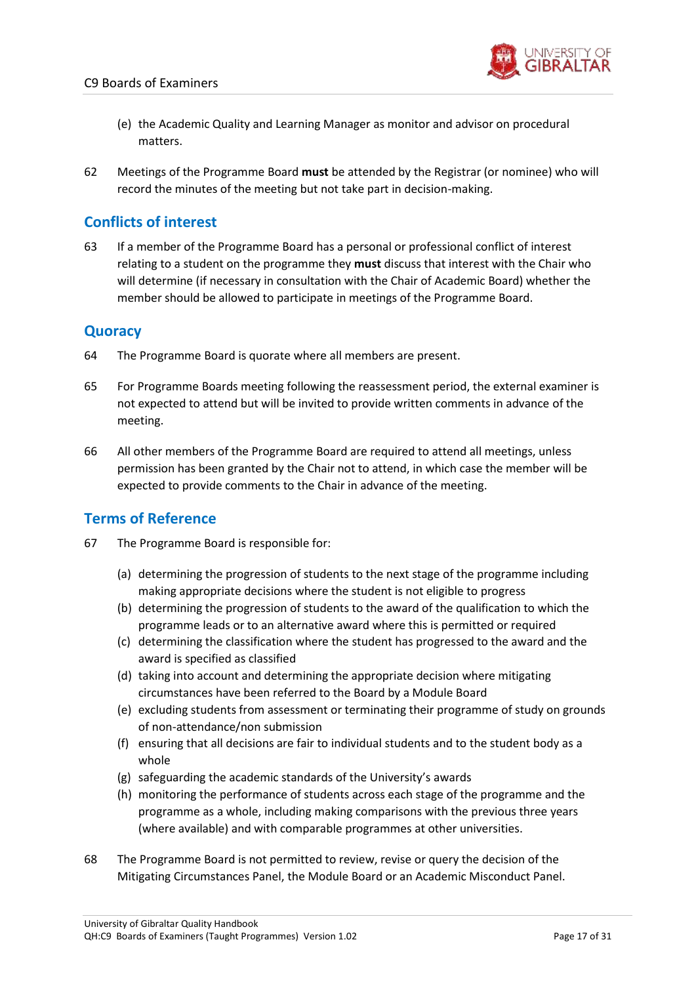

- (e) the Academic Quality and Learning Manager as monitor and advisor on procedural matters.
- 62 Meetings of the Programme Board **must** be attended by the Registrar (or nominee) who will record the minutes of the meeting but not take part in decision-making.

## <span id="page-16-0"></span>**Conflicts of interest**

63 If a member of the Programme Board has a personal or professional conflict of interest relating to a student on the programme they **must** discuss that interest with the Chair who will determine (if necessary in consultation with the Chair of Academic Board) whether the member should be allowed to participate in meetings of the Programme Board.

## <span id="page-16-1"></span>**Quoracy**

- 64 The Programme Board is quorate where all members are present.
- 65 For Programme Boards meeting following the reassessment period, the external examiner is not expected to attend but will be invited to provide written comments in advance of the meeting.
- 66 All other members of the Programme Board are required to attend all meetings, unless permission has been granted by the Chair not to attend, in which case the member will be expected to provide comments to the Chair in advance of the meeting.

## <span id="page-16-2"></span>**Terms of Reference**

- 67 The Programme Board is responsible for:
	- (a) determining the progression of students to the next stage of the programme including making appropriate decisions where the student is not eligible to progress
	- (b) determining the progression of students to the award of the qualification to which the programme leads or to an alternative award where this is permitted or required
	- (c) determining the classification where the student has progressed to the award and the award is specified as classified
	- (d) taking into account and determining the appropriate decision where mitigating circumstances have been referred to the Board by a Module Board
	- (e) excluding students from assessment or terminating their programme of study on grounds of non-attendance/non submission
	- (f) ensuring that all decisions are fair to individual students and to the student body as a whole
	- (g) safeguarding the academic standards of the University's awards
	- (h) monitoring the performance of students across each stage of the programme and the programme as a whole, including making comparisons with the previous three years (where available) and with comparable programmes at other universities.
- 68 The Programme Board is not permitted to review, revise or query the decision of the Mitigating Circumstances Panel, the Module Board or an Academic Misconduct Panel.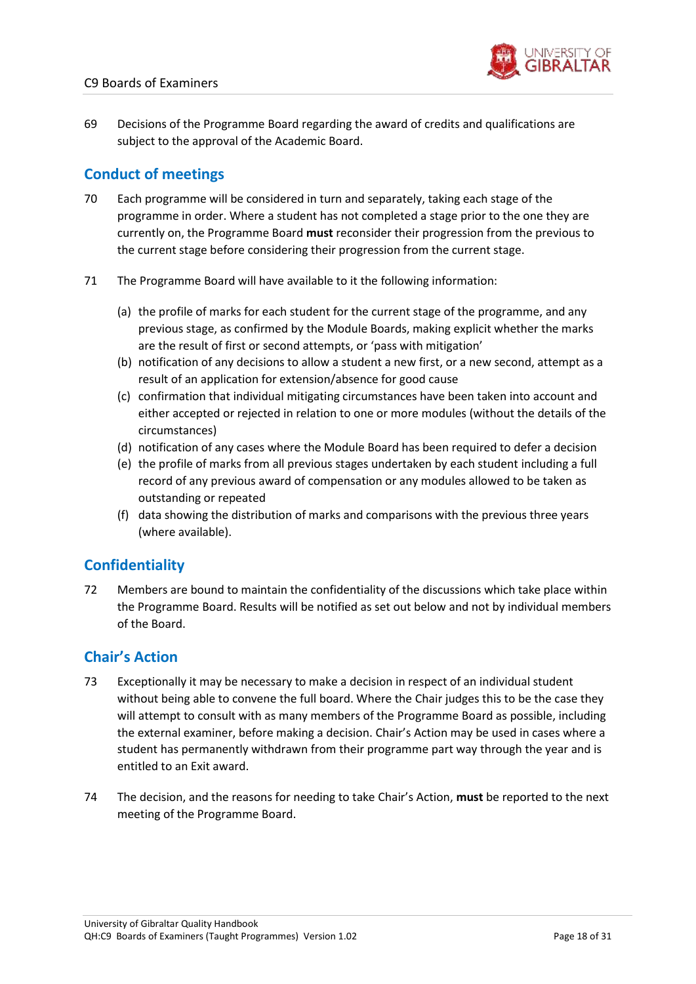

69 Decisions of the Programme Board regarding the award of credits and qualifications are subject to the approval of the Academic Board.

# <span id="page-17-0"></span>**Conduct of meetings**

- 70 Each programme will be considered in turn and separately, taking each stage of the programme in order. Where a student has not completed a stage prior to the one they are currently on, the Programme Board **must** reconsider their progression from the previous to the current stage before considering their progression from the current stage.
- 71 The Programme Board will have available to it the following information:
	- (a) the profile of marks for each student for the current stage of the programme, and any previous stage, as confirmed by the Module Boards, making explicit whether the marks are the result of first or second attempts, or 'pass with mitigation'
	- (b) notification of any decisions to allow a student a new first, or a new second, attempt as a result of an application for extension/absence for good cause
	- (c) confirmation that individual mitigating circumstances have been taken into account and either accepted or rejected in relation to one or more modules (without the details of the circumstances)
	- (d) notification of any cases where the Module Board has been required to defer a decision
	- (e) the profile of marks from all previous stages undertaken by each student including a full record of any previous award of compensation or any modules allowed to be taken as outstanding or repeated
	- (f) data showing the distribution of marks and comparisons with the previous three years (where available).

## <span id="page-17-1"></span>**Confidentiality**

72 Members are bound to maintain the confidentiality of the discussions which take place within the Programme Board. Results will be notified as set out below and not by individual members of the Board.

## <span id="page-17-2"></span>**Chair's Action**

- 73 Exceptionally it may be necessary to make a decision in respect of an individual student without being able to convene the full board. Where the Chair judges this to be the case they will attempt to consult with as many members of the Programme Board as possible, including the external examiner, before making a decision. Chair's Action may be used in cases where a student has permanently withdrawn from their programme part way through the year and is entitled to an Exit award.
- 74 The decision, and the reasons for needing to take Chair's Action, **must** be reported to the next meeting of the Programme Board.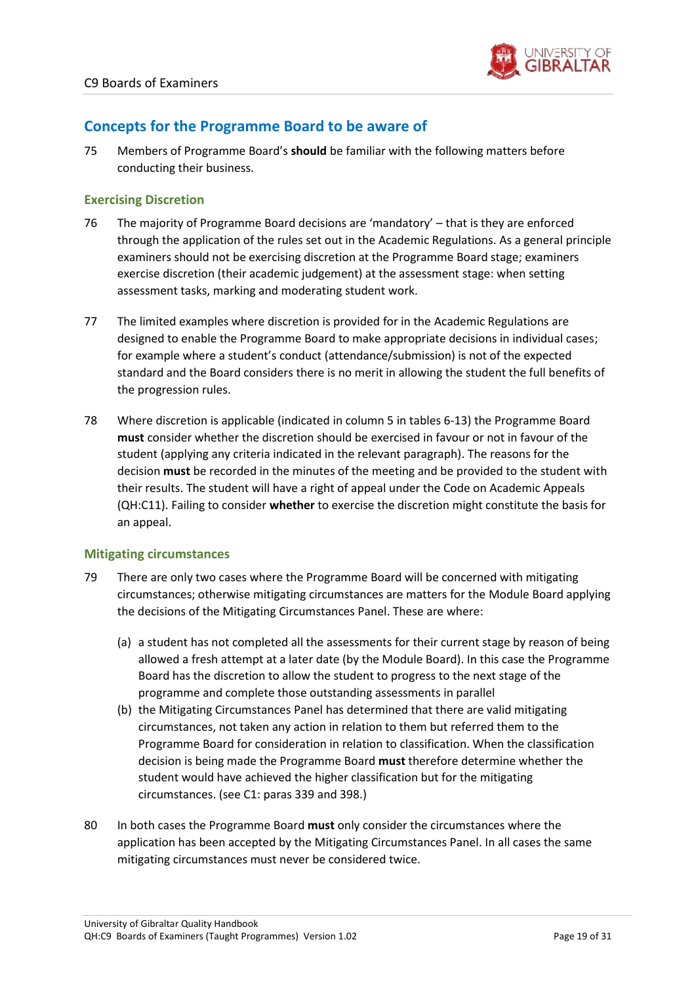

## <span id="page-18-0"></span>**Concepts for the Programme Board to be aware of**

75 Members of Programme Board's **should** be familiar with the following matters before conducting their business.

#### **Exercising Discretion**

- 76 The majority of Programme Board decisions are 'mandatory' that is they are enforced through the application of the rules set out in the Academic Regulations. As a general principle examiners should not be exercising discretion at the Programme Board stage; examiners exercise discretion (their academic judgement) at the assessment stage: when setting assessment tasks, marking and moderating student work.
- 77 The limited examples where discretion is provided for in the Academic Regulations are designed to enable the Programme Board to make appropriate decisions in individual cases; for example where a student's conduct (attendance/submission) is not of the expected standard and the Board considers there is no merit in allowing the student the full benefits of the progression rules.
- 78 Where discretion is applicable (indicated in column 5 in tables 6-13) the Programme Board **must** consider whether the discretion should be exercised in favour or not in favour of the student (applying any criteria indicated in the relevant paragraph). The reasons for the decision **must** be recorded in the minutes of the meeting and be provided to the student with their results. The student will have a right of appeal under the Code on Academic Appeals (QH:C11). Failing to consider **whether** to exercise the discretion might constitute the basis for an appeal.

#### **Mitigating circumstances**

- 79 There are only two cases where the Programme Board will be concerned with mitigating circumstances; otherwise mitigating circumstances are matters for the Module Board applying the decisions of the Mitigating Circumstances Panel. These are where:
	- (a) a student has not completed all the assessments for their current stage by reason of being allowed a fresh attempt at a later date (by the Module Board). In this case the Programme Board has the discretion to allow the student to progress to the next stage of the programme and complete those outstanding assessments in parallel
	- (b) the Mitigating Circumstances Panel has determined that there are valid mitigating circumstances, not taken any action in relation to them but referred them to the Programme Board for consideration in relation to classification. When the classification decision is being made the Programme Board **must** therefore determine whether the student would have achieved the higher classification but for the mitigating circumstances. (see C1: paras 339 and 398.)
- 80 In both cases the Programme Board **must** only consider the circumstances where the application has been accepted by the Mitigating Circumstances Panel. In all cases the same mitigating circumstances must never be considered twice.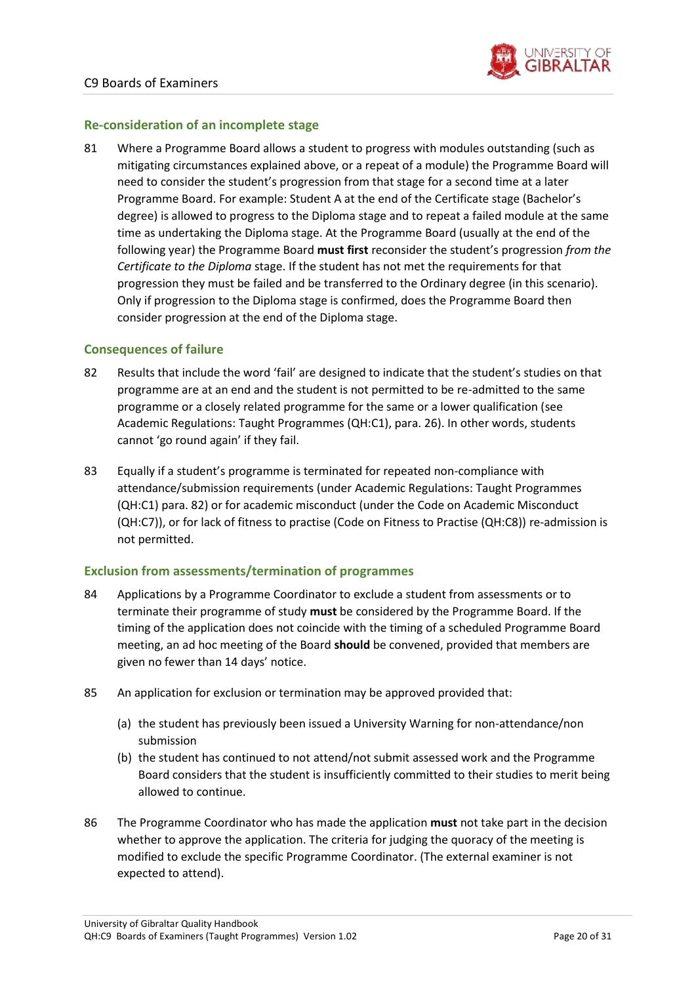

#### **Re-consideration of an incomplete stage**

81 Where a Programme Board allows a student to progress with modules outstanding (such as mitigating circumstances explained above, or a repeat of a module) the Programme Board will need to consider the student's progression from that stage for a second time at a later Programme Board. For example: Student A at the end of the Certificate stage (Bachelor's degree) is allowed to progress to the Diploma stage and to repeat a failed module at the same time as undertaking the Diploma stage. At the Programme Board (usually at the end of the following year) the Programme Board **must first** reconsider the student's progression *from the Certificate to the Diploma* stage. If the student has not met the requirements for that progression they must be failed and be transferred to the Ordinary degree (in this scenario). Only if progression to the Diploma stage is confirmed, does the Programme Board then consider progression at the end of the Diploma stage.

#### **Consequences of failure**

- 82 Results that include the word 'fail' are designed to indicate that the student's studies on that programme are at an end and the student is not permitted to be re-admitted to the same programme or a closely related programme for the same or a lower qualification (see Academic Regulations: Taught Programmes (QH:C1), para. 26). In other words, students cannot 'go round again' if they fail.
- 83 Equally if a student's programme is terminated for repeated non-compliance with attendance/submission requirements (under Academic Regulations: Taught Programmes (QH:C1) para. 82) or for academic misconduct (under the Code on Academic Misconduct (QH:C7)), or for lack of fitness to practise (Code on Fitness to Practise (QH:C8)) re-admission is not permitted.

#### **Exclusion from assessments/termination of programmes**

- 84 Applications by a Programme Coordinator to exclude a student from assessments or to terminate their programme of study **must** be considered by the Programme Board. If the timing of the application does not coincide with the timing of a scheduled Programme Board meeting, an ad hoc meeting of the Board **should** be convened, provided that members are given no fewer than 14 days' notice.
- 85 An application for exclusion or termination may be approved provided that:
	- (a) the student has previously been issued a University Warning for non-attendance/non submission
	- (b) the student has continued to not attend/not submit assessed work and the Programme Board considers that the student is insufficiently committed to their studies to merit being allowed to continue.
- 86 The Programme Coordinator who has made the application **must** not take part in the decision whether to approve the application. The criteria for judging the quoracy of the meeting is modified to exclude the specific Programme Coordinator. (The external examiner is not expected to attend).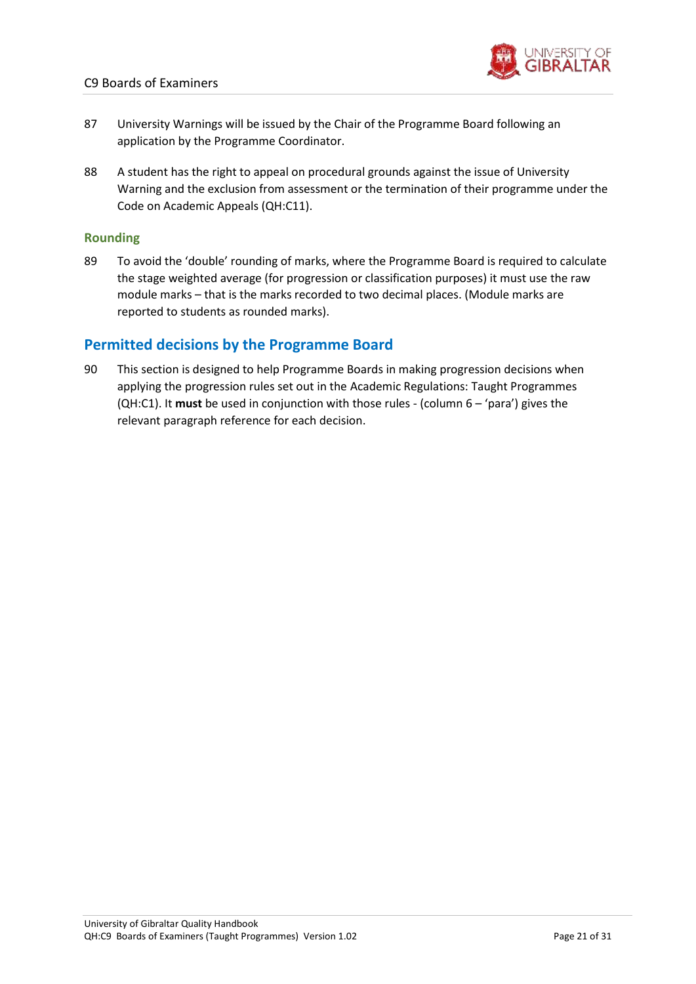

- 87 University Warnings will be issued by the Chair of the Programme Board following an application by the Programme Coordinator.
- 88 A student has the right to appeal on procedural grounds against the issue of University Warning and the exclusion from assessment or the termination of their programme under the Code on Academic Appeals (QH:C11).

#### **Rounding**

89 To avoid the 'double' rounding of marks, where the Programme Board is required to calculate the stage weighted average (for progression or classification purposes) it must use the raw module marks – that is the marks recorded to two decimal places. (Module marks are reported to students as rounded marks).

### <span id="page-20-0"></span>**Permitted decisions by the Programme Board**

90 This section is designed to help Programme Boards in making progression decisions when applying the progression rules set out in the Academic Regulations: Taught Programmes (QH:C1). It **must** be used in conjunction with those rules - (column 6 – 'para') gives the relevant paragraph reference for each decision.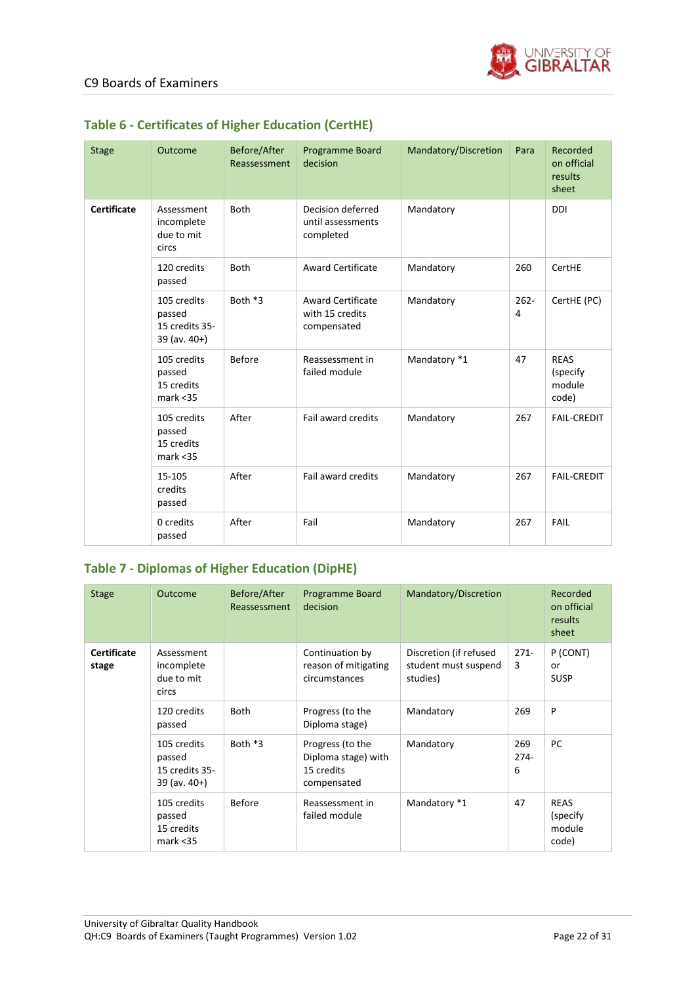

| <b>Stage</b>       | Outcome                                                      | Before/After<br>Reassessment | <b>Programme Board</b><br>decision                         | Mandatory/Discretion | Para         | Recorded<br>on official<br>results<br>sheet |
|--------------------|--------------------------------------------------------------|------------------------------|------------------------------------------------------------|----------------------|--------------|---------------------------------------------|
| <b>Certificate</b> | Assessment<br>incomplete<br>due to mit<br>circs              | Both                         | Decision deferred<br>until assessments<br>completed        | Mandatory            |              | <b>DDI</b>                                  |
|                    | 120 credits<br>passed                                        | Both                         | <b>Award Certificate</b>                                   | Mandatory            | 260          | CertHE                                      |
|                    | 105 credits<br>passed<br>15 credits 35-<br>$39$ (av. $40+$ ) | Both *3                      | <b>Award Certificate</b><br>with 15 credits<br>compensated | Mandatory            | $262 -$<br>4 | CertHE (PC)                                 |
|                    | 105 credits<br>passed<br>15 credits<br>mark < 35             | Before                       | Reassessment in<br>failed module                           | Mandatory *1         | 47           | <b>REAS</b><br>(specify)<br>module<br>code) |
|                    | 105 credits<br>passed<br>15 credits<br>mark < 35             | After                        | Fail award credits                                         | Mandatory            | 267          | <b>FAIL-CREDIT</b>                          |
|                    | 15-105<br>credits<br>passed                                  | After                        | Fail award credits                                         | Mandatory            | 267          | <b>FAIL-CREDIT</b>                          |
|                    | 0 credits<br>passed                                          | After                        | Fail                                                       | Mandatory            | 267          | FAIL                                        |

# **Table 6 - Certificates of Higher Education (CertHE)**

### **Table 7 - Diplomas of Higher Education (DipHE)**

| <b>Stage</b>                | <b>Outcome</b>                                               | Before/After<br>Reassessment | Programme Board<br>decision                                          | Mandatory/Discretion                                       |                    | Recorded<br>on official<br>results<br>sheet |
|-----------------------------|--------------------------------------------------------------|------------------------------|----------------------------------------------------------------------|------------------------------------------------------------|--------------------|---------------------------------------------|
| <b>Certificate</b><br>stage | Assessment<br>incomplete<br>due to mit<br>circs              |                              | Continuation by<br>reason of mitigating<br>circumstances             | Discretion (if refused<br>student must suspend<br>studies) | $271 -$<br>3       | P (CONT)<br>or<br><b>SUSP</b>               |
|                             | 120 credits<br>passed                                        | <b>Both</b>                  | Progress (to the<br>Diploma stage)                                   | Mandatory                                                  | 269                | P                                           |
|                             | 105 credits<br>passed<br>15 credits 35-<br>$39$ (av. $40+$ ) | Both *3                      | Progress (to the<br>Diploma stage) with<br>15 credits<br>compensated | Mandatory                                                  | 269<br>$274-$<br>6 | PC                                          |
|                             | 105 credits<br>passed<br>15 credits<br>mark < 35             | <b>Before</b>                | Reassessment in<br>failed module                                     | Mandatory *1                                               | 47                 | <b>REAS</b><br>(specify)<br>module<br>code) |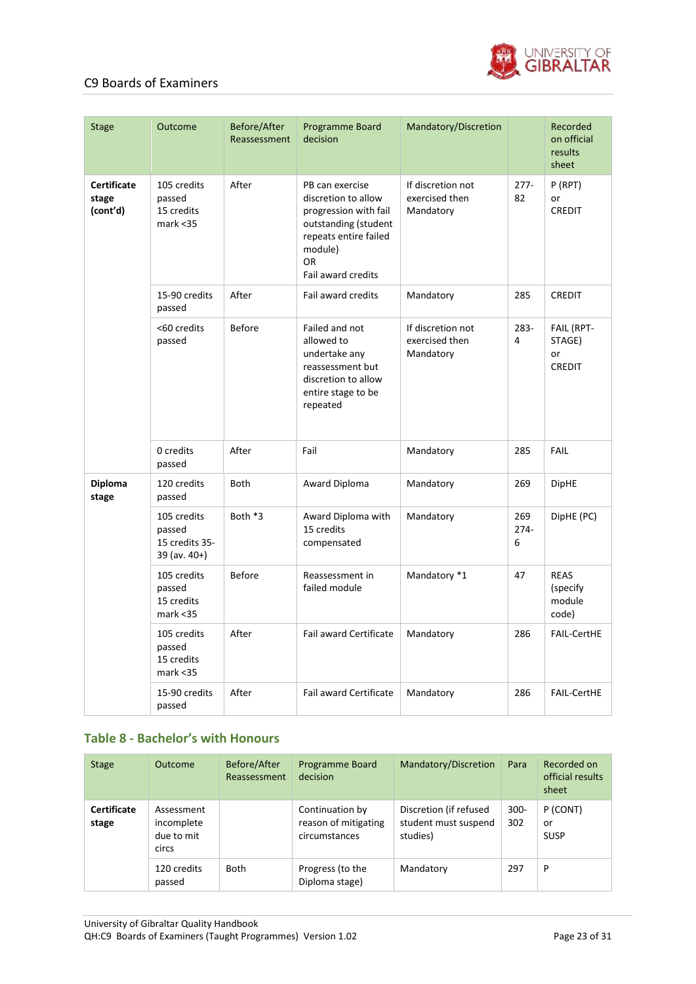

| <b>Stage</b>                            | Outcome                                                      | Before/After<br>Reassessment | Programme Board<br>decision                                                                                                                                    | Mandatory/Discretion                             |                    | Recorded<br>on official<br>results<br>sheet |
|-----------------------------------------|--------------------------------------------------------------|------------------------------|----------------------------------------------------------------------------------------------------------------------------------------------------------------|--------------------------------------------------|--------------------|---------------------------------------------|
| <b>Certificate</b><br>stage<br>(cont'd) | 105 credits<br>passed<br>15 credits<br>mark < 35             | After                        | PB can exercise<br>discretion to allow<br>progression with fail<br>outstanding (student<br>repeats entire failed<br>module)<br><b>OR</b><br>Fail award credits | If discretion not<br>exercised then<br>Mandatory | $277 -$<br>82      | P (RPT)<br>or<br><b>CREDIT</b>              |
|                                         | 15-90 credits<br>passed                                      | After                        | Fail award credits                                                                                                                                             | Mandatory                                        | 285                | <b>CREDIT</b>                               |
|                                         | <60 credits<br>passed                                        | <b>Before</b>                | Failed and not<br>allowed to<br>undertake any<br>reassessment but<br>discretion to allow<br>entire stage to be<br>repeated                                     | If discretion not<br>exercised then<br>Mandatory | 283-<br>4          | FAIL (RPT-<br>STAGE)<br>or<br><b>CREDIT</b> |
|                                         | 0 credits<br>passed                                          | After                        | Fail                                                                                                                                                           | Mandatory                                        | 285                | FAIL                                        |
| <b>Diploma</b><br>stage                 | 120 credits<br>passed                                        | <b>Both</b>                  | Award Diploma                                                                                                                                                  | Mandatory                                        | 269                | <b>DipHE</b>                                |
|                                         | 105 credits<br>passed<br>15 credits 35-<br>$39$ (av. $40+$ ) | Both *3                      | Award Diploma with<br>15 credits<br>compensated                                                                                                                | Mandatory                                        | 269<br>$274-$<br>6 | DipHE (PC)                                  |
|                                         | 105 credits<br>passed<br>15 credits<br>mark < 35             | <b>Before</b>                | Reassessment in<br>failed module                                                                                                                               | Mandatory *1                                     | 47                 | <b>REAS</b><br>(specify)<br>module<br>code) |
|                                         | 105 credits<br>passed<br>15 credits<br>mark < 35             | After                        | Fail award Certificate                                                                                                                                         | Mandatory                                        | 286                | <b>FAIL-CertHE</b>                          |
|                                         | 15-90 credits<br>passed                                      | After                        | <b>Fail award Certificate</b>                                                                                                                                  | Mandatory                                        | 286                | <b>FAIL-CertHE</b>                          |

#### **Table 8 - Bachelor's with Honours**

| <b>Stage</b>                | Outcome                                         | Before/After<br>Reassessment | Programme Board<br>decision                              | Mandatory/Discretion                                       | Para           | Recorded on<br>official results<br>sheet |
|-----------------------------|-------------------------------------------------|------------------------------|----------------------------------------------------------|------------------------------------------------------------|----------------|------------------------------------------|
| <b>Certificate</b><br>stage | Assessment<br>incomplete<br>due to mit<br>circs |                              | Continuation by<br>reason of mitigating<br>circumstances | Discretion (if refused<br>student must suspend<br>studies) | $300 -$<br>302 | P (CONT)<br>or<br><b>SUSP</b>            |
|                             | 120 credits<br>passed                           | Both                         | Progress (to the<br>Diploma stage)                       | Mandatory                                                  | 297            | P                                        |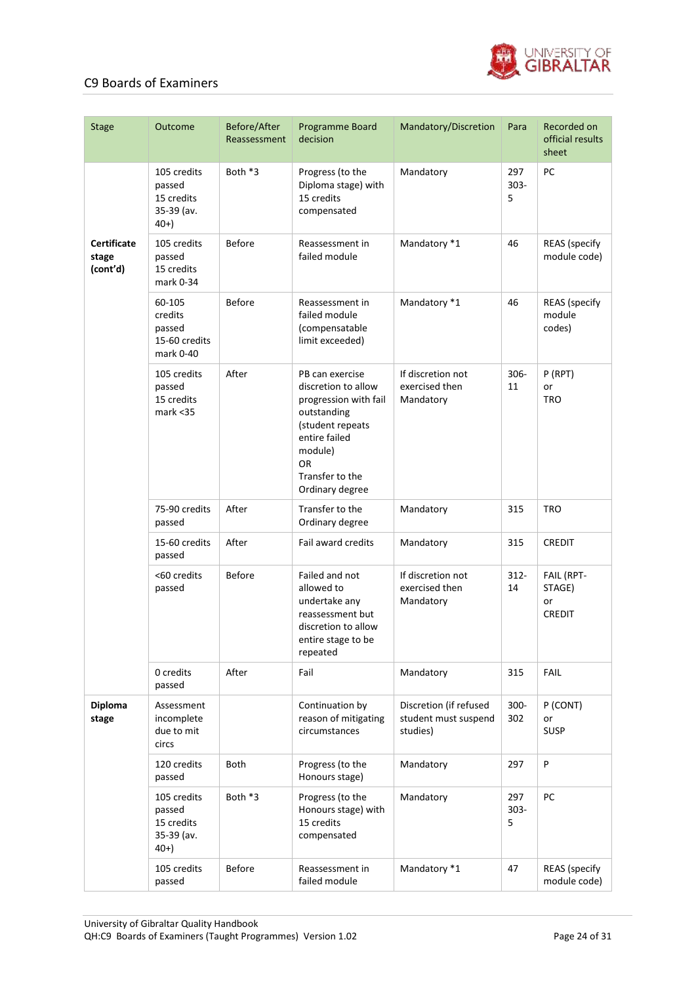

| <b>Stage</b>                            | Outcome                                                    | Before/After<br>Reassessment | Programme Board<br>decision                                                                                                                                                       | Mandatory/Discretion                                       | Para                | Recorded on<br>official results<br>sheet    |
|-----------------------------------------|------------------------------------------------------------|------------------------------|-----------------------------------------------------------------------------------------------------------------------------------------------------------------------------------|------------------------------------------------------------|---------------------|---------------------------------------------|
|                                         | 105 credits<br>passed<br>15 credits<br>35-39 (av.<br>$40+$ | Both *3                      | Progress (to the<br>Diploma stage) with<br>15 credits<br>compensated                                                                                                              | Mandatory                                                  | 297<br>$303 -$<br>5 | PC                                          |
| <b>Certificate</b><br>stage<br>(cont'd) | 105 credits<br>passed<br>15 credits<br>mark 0-34           | <b>Before</b>                | Reassessment in<br>failed module                                                                                                                                                  | Mandatory *1                                               | 46                  | <b>REAS</b> (specify<br>module code)        |
|                                         | 60-105<br>credits<br>passed<br>15-60 credits<br>mark 0-40  | <b>Before</b>                | Reassessment in<br>failed module<br>(compensatable<br>limit exceeded)                                                                                                             | Mandatory *1                                               | 46                  | <b>REAS</b> (specify<br>module<br>codes)    |
|                                         | 105 credits<br>passed<br>15 credits<br>mark < 35           | After                        | PB can exercise<br>discretion to allow<br>progression with fail<br>outstanding<br>(student repeats<br>entire failed<br>module)<br><b>OR</b><br>Transfer to the<br>Ordinary degree | If discretion not<br>exercised then<br>Mandatory           | $306 -$<br>11       | P (RPT)<br>or<br><b>TRO</b>                 |
|                                         | 75-90 credits<br>passed                                    | After                        | Transfer to the<br>Ordinary degree                                                                                                                                                | Mandatory                                                  | 315                 | <b>TRO</b>                                  |
|                                         | 15-60 credits<br>passed                                    | After                        | Fail award credits                                                                                                                                                                | Mandatory                                                  | 315                 | <b>CREDIT</b>                               |
|                                         | <60 credits<br>passed                                      | <b>Before</b>                | Failed and not<br>allowed to<br>undertake any<br>reassessment but<br>discretion to allow<br>entire stage to be<br>repeated                                                        | If discretion not<br>exercised then<br>Mandatory           | $312 -$<br>14       | FAIL (RPT-<br>STAGE)<br>or<br><b>CREDIT</b> |
|                                         | 0 credits<br>passed                                        | After                        | Fail                                                                                                                                                                              | Mandatory                                                  | 315                 | FAIL                                        |
| <b>Diploma</b><br>stage                 | Assessment<br>incomplete<br>due to mit<br>circs            |                              | Continuation by<br>reason of mitigating<br>circumstances                                                                                                                          | Discretion (if refused<br>student must suspend<br>studies) | 300-<br>302         | P (CONT)<br>or<br><b>SUSP</b>               |
|                                         | 120 credits<br>passed                                      | Both                         | Progress (to the<br>Honours stage)                                                                                                                                                | Mandatory                                                  | 297                 | P                                           |
|                                         | 105 credits<br>passed<br>15 credits<br>35-39 (av.<br>$40+$ | Both *3                      | Progress (to the<br>Honours stage) with<br>15 credits<br>compensated                                                                                                              | Mandatory                                                  | 297<br>$303 -$<br>5 | PC                                          |
|                                         | 105 credits<br>passed                                      | <b>Before</b>                | Reassessment in<br>failed module                                                                                                                                                  | Mandatory *1                                               | 47                  | <b>REAS</b> (specify<br>module code)        |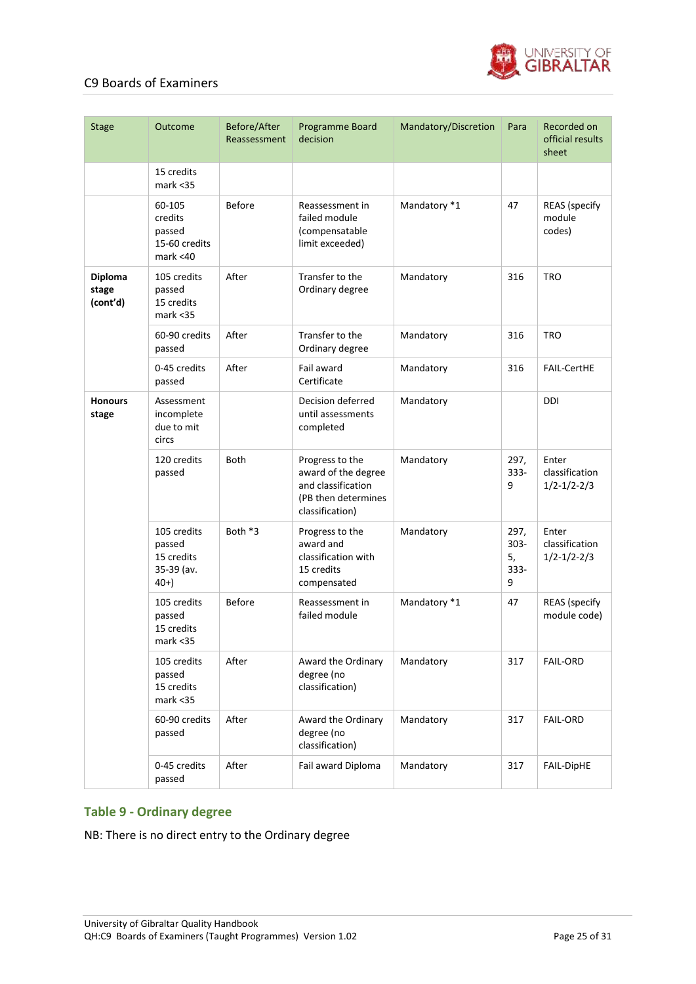

| <b>Stage</b>                 | Outcome                                                    | Before/After<br>Reassessment | Programme Board<br>decision                                                                            | Mandatory/Discretion | Para                               | Recorded on<br>official results<br>sheet     |
|------------------------------|------------------------------------------------------------|------------------------------|--------------------------------------------------------------------------------------------------------|----------------------|------------------------------------|----------------------------------------------|
|                              | 15 credits<br>mark < 35                                    |                              |                                                                                                        |                      |                                    |                                              |
|                              | 60-105<br>credits<br>passed<br>15-60 credits<br>mark < 40  | <b>Before</b>                | Reassessment in<br>failed module<br>(compensatable<br>limit exceeded)                                  | Mandatory *1         | 47                                 | <b>REAS</b> (specify<br>module<br>codes)     |
| Diploma<br>stage<br>(cont'd) | 105 credits<br>passed<br>15 credits<br>mark < 35           | After                        | Transfer to the<br>Ordinary degree                                                                     | Mandatory            | 316                                | <b>TRO</b>                                   |
|                              | 60-90 credits<br>passed                                    | After                        | Transfer to the<br>Ordinary degree                                                                     | Mandatory            | 316                                | <b>TRO</b>                                   |
|                              | 0-45 credits<br>passed                                     | After                        | Fail award<br>Certificate                                                                              | Mandatory            | 316                                | <b>FAIL-CertHE</b>                           |
| <b>Honours</b><br>stage      | Assessment<br>incomplete<br>due to mit<br>circs            |                              | Decision deferred<br>until assessments<br>completed                                                    | Mandatory            |                                    | <b>DDI</b>                                   |
|                              | 120 credits<br>passed                                      | <b>Both</b>                  | Progress to the<br>award of the degree<br>and classification<br>(PB then determines<br>classification) | Mandatory            | 297,<br>$333 -$<br>9               | Enter<br>classification<br>$1/2 - 1/2 - 2/3$ |
|                              | 105 credits<br>passed<br>15 credits<br>35-39 (av.<br>$40+$ | Both *3                      | Progress to the<br>award and<br>classification with<br>15 credits<br>compensated                       | Mandatory            | 297,<br>$303 -$<br>5,<br>333-<br>9 | Enter<br>classification<br>$1/2 - 1/2 - 2/3$ |
|                              | 105 credits<br>passed<br>15 credits<br>mark <35            | <b>Before</b>                | Reassessment in<br>failed module                                                                       | Mandatory *1         | 47                                 | <b>REAS</b> (specify<br>module code)         |
|                              | 105 credits<br>passed<br>15 credits<br>$mark <$ 35         | After                        | Award the Ordinary<br>degree (no<br>classification)                                                    | Mandatory            | 317                                | <b>FAIL-ORD</b>                              |
|                              | 60-90 credits<br>passed                                    | After                        | Award the Ordinary<br>degree (no<br>classification)                                                    | Mandatory            | 317                                | <b>FAIL-ORD</b>                              |
|                              | 0-45 credits<br>passed                                     | After                        | Fail award Diploma                                                                                     | Mandatory            | 317                                | FAIL-DipHE                                   |

#### **Table 9 - Ordinary degree**

NB: There is no direct entry to the Ordinary degree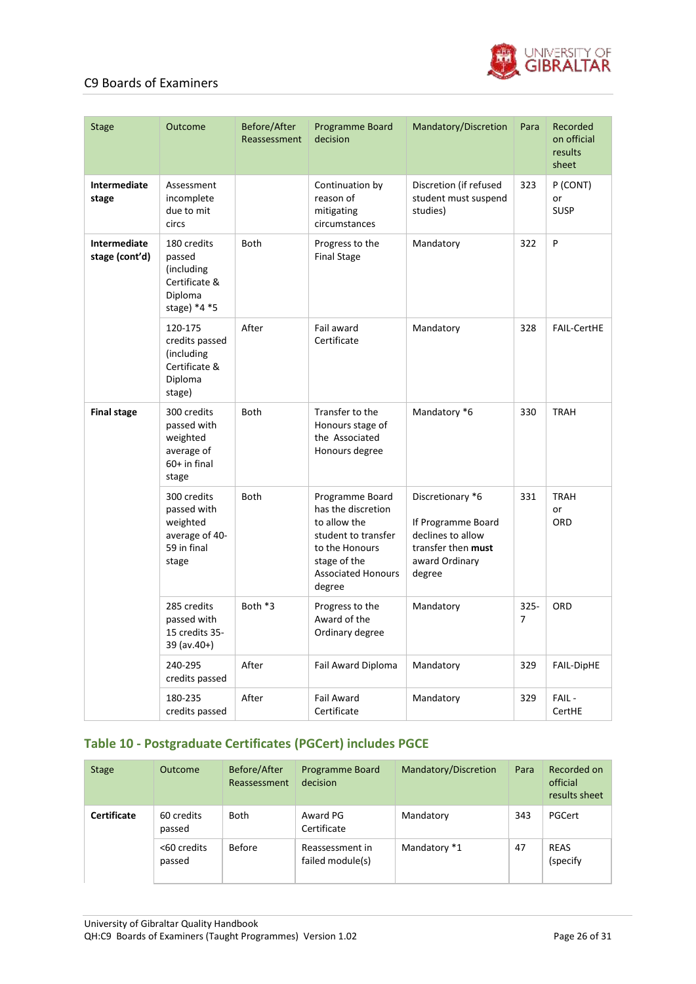

| <b>Stage</b>                   | Outcome                                                                            | Before/After<br>Reassessment | Programme Board<br>decision                                                                                                                           | Mandatory/Discretion                                                                                          | Para                      | Recorded<br>on official<br>results<br>sheet |
|--------------------------------|------------------------------------------------------------------------------------|------------------------------|-------------------------------------------------------------------------------------------------------------------------------------------------------|---------------------------------------------------------------------------------------------------------------|---------------------------|---------------------------------------------|
| Intermediate<br>stage          | Assessment<br>incomplete<br>due to mit<br>circs                                    |                              | Continuation by<br>reason of<br>mitigating<br>circumstances                                                                                           | Discretion (if refused<br>student must suspend<br>studies)                                                    | 323                       | P (CONT)<br>or<br><b>SUSP</b>               |
| Intermediate<br>stage (cont'd) | 180 credits<br>passed<br>(including)<br>Certificate &<br>Diploma<br>stage) $*4 *5$ | <b>Both</b>                  | Progress to the<br><b>Final Stage</b>                                                                                                                 | Mandatory                                                                                                     | 322                       | P                                           |
|                                | 120-175<br>credits passed<br>(including<br>Certificate &<br>Diploma<br>stage)      | After                        | Fail award<br>Certificate                                                                                                                             | Mandatory                                                                                                     | 328                       | <b>FAIL-CertHE</b>                          |
| <b>Final stage</b>             | 300 credits<br>passed with<br>weighted<br>average of<br>$60+$ in final<br>stage    | <b>Both</b>                  | Transfer to the<br>Honours stage of<br>the Associated<br>Honours degree                                                                               | Mandatory *6                                                                                                  | 330                       | <b>TRAH</b>                                 |
|                                | 300 credits<br>passed with<br>weighted<br>average of 40-<br>59 in final<br>stage   | <b>Both</b>                  | Programme Board<br>has the discretion<br>to allow the<br>student to transfer<br>to the Honours<br>stage of the<br><b>Associated Honours</b><br>degree | Discretionary *6<br>If Programme Board<br>declines to allow<br>transfer then must<br>award Ordinary<br>degree | 331                       | <b>TRAH</b><br>or<br>ORD                    |
|                                | 285 credits<br>passed with<br>15 credits 35-<br>39 (av.40+)                        | Both *3                      | Progress to the<br>Award of the<br>Ordinary degree                                                                                                    | Mandatory                                                                                                     | $325 -$<br>$\overline{7}$ | ORD                                         |
|                                | 240-295<br>credits passed                                                          | After                        | Fail Award Diploma                                                                                                                                    | Mandatory                                                                                                     | 329                       | FAIL-DipHE                                  |
|                                | 180-235<br>credits passed                                                          | After                        | <b>Fail Award</b><br>Certificate                                                                                                                      | Mandatory                                                                                                     | 329                       | FAIL-<br>CertHE                             |

### **Table 10 - Postgraduate Certificates (PGCert) includes PGCE**

| <b>Stage</b>       | <b>Outcome</b>        | Before/After<br>Reassessment | <b>Programme Board</b><br>decision  | Mandatory/Discretion | Para | Recorded on<br>official<br>results sheet |
|--------------------|-----------------------|------------------------------|-------------------------------------|----------------------|------|------------------------------------------|
| <b>Certificate</b> | 60 credits<br>passed  | <b>Both</b>                  | Award PG<br>Certificate             | Mandatory            | 343  | PGCert                                   |
|                    | <60 credits<br>passed | Before                       | Reassessment in<br>failed module(s) | Mandatory *1         | 47   | <b>REAS</b><br>(specify                  |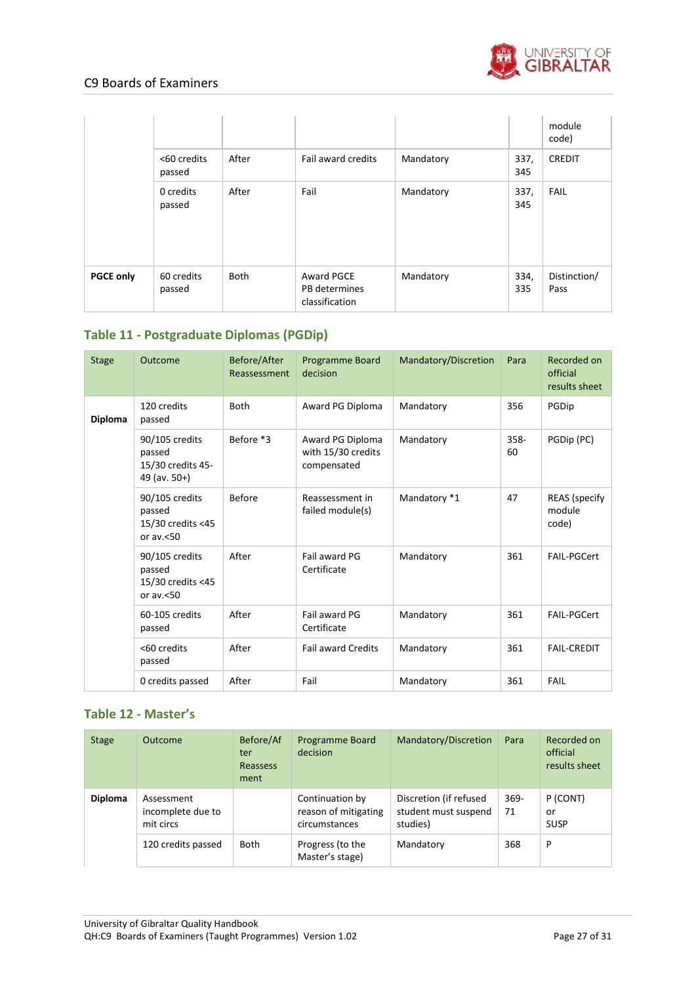

|                  |                       |             |                                               |           |             | module<br>code)      |
|------------------|-----------------------|-------------|-----------------------------------------------|-----------|-------------|----------------------|
|                  | <60 credits<br>passed | After       | Fail award credits                            | Mandatory | 337,<br>345 | <b>CREDIT</b>        |
|                  | 0 credits<br>passed   | After       | Fail                                          | Mandatory | 337,<br>345 | <b>FAIL</b>          |
| <b>PGCE only</b> | 60 credits<br>passed  | <b>Both</b> | Award PGCE<br>PB determines<br>classification | Mandatory | 334,<br>335 | Distinction/<br>Pass |

## **Table 11 - Postgraduate Diplomas (PGDip)**

| <b>Stage</b> | Outcome                                                          | Before/After<br>Reassessment | <b>Programme Board</b><br>decision                    | Mandatory/Discretion | Para          | Recorded on<br>official<br>results sheet |
|--------------|------------------------------------------------------------------|------------------------------|-------------------------------------------------------|----------------------|---------------|------------------------------------------|
| Diploma      | 120 credits<br>passed                                            | <b>Both</b>                  | Award PG Diploma                                      | Mandatory            | 356           | PGDip                                    |
|              | 90/105 credits<br>passed<br>15/30 credits 45-<br>49 (av. $50+$ ) | Before *3                    | Award PG Diploma<br>with 15/30 credits<br>compensated | Mandatory            | $358 -$<br>60 | PGDip (PC)                               |
|              | 90/105 credits<br>passed<br>15/30 credits <45<br>or $av < 50$    | <b>Before</b>                | Reassessment in<br>failed module(s)                   | Mandatory *1         | 47            | <b>REAS</b> (specify<br>module<br>code)  |
|              | 90/105 credits<br>passed<br>15/30 credits <45<br>or $av < 50$    | After                        | Fail award PG<br>Certificate                          | Mandatory            | 361           | <b>FAIL-PGCert</b>                       |
|              | 60-105 credits<br>passed                                         | After                        | Fail award PG<br>Certificate                          | Mandatory            | 361           | FAIL-PGCert                              |
|              | <60 credits<br>passed                                            | After                        | <b>Fail award Credits</b>                             | Mandatory            | 361           | <b>FAIL-CREDIT</b>                       |
|              | 0 credits passed                                                 | After                        | Fail                                                  | Mandatory            | 361           | <b>FAIL</b>                              |

### **Table 12 - Master's**

| <b>Stage</b>   | Outcome                                      | Before/Af<br>ter<br>Reassess<br>ment | <b>Programme Board</b><br>decision                       | Mandatory/Discretion                                       | Para          | Recorded on<br>official<br>results sheet |
|----------------|----------------------------------------------|--------------------------------------|----------------------------------------------------------|------------------------------------------------------------|---------------|------------------------------------------|
| <b>Diploma</b> | Assessment<br>incomplete due to<br>mit circs |                                      | Continuation by<br>reason of mitigating<br>circumstances | Discretion (if refused<br>student must suspend<br>studies) | $369 -$<br>71 | P (CONT)<br>or<br><b>SUSP</b>            |
|                | 120 credits passed                           | Both                                 | Progress (to the<br>Master's stage)                      | Mandatory                                                  | 368           | P                                        |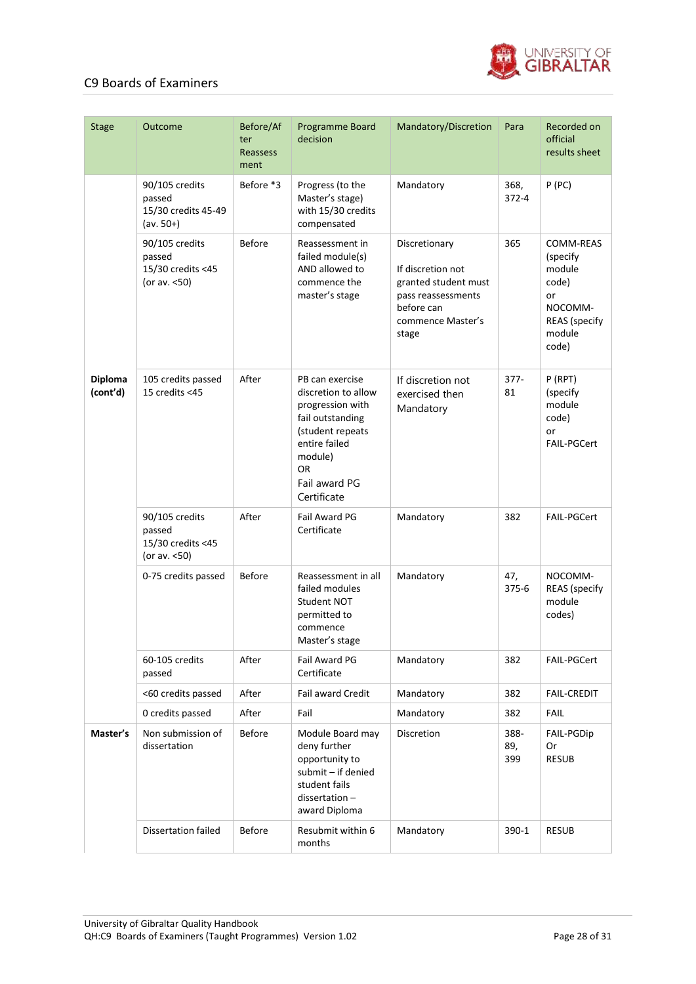

| <b>Stage</b>               | Outcome                                                        | Before/Af<br>ter<br>Reassess<br>ment | Programme Board<br>decision                                                                                                                                           | Mandatory/Discretion                                                                                                         | Para               | Recorded on<br>official<br>results sheet                                                      |
|----------------------------|----------------------------------------------------------------|--------------------------------------|-----------------------------------------------------------------------------------------------------------------------------------------------------------------------|------------------------------------------------------------------------------------------------------------------------------|--------------------|-----------------------------------------------------------------------------------------------|
|                            | 90/105 credits<br>passed<br>15/30 credits 45-49<br>$(av. 50+)$ | Before *3                            | Progress (to the<br>Master's stage)<br>with 15/30 credits<br>compensated                                                                                              | Mandatory                                                                                                                    | 368,<br>$372 - 4$  | P(PC)                                                                                         |
|                            | 90/105 credits<br>passed<br>15/30 credits <45<br>(or av. <50)  | <b>Before</b>                        | Reassessment in<br>failed module(s)<br>AND allowed to<br>commence the<br>master's stage                                                                               | Discretionary<br>If discretion not<br>granted student must<br>pass reassessments<br>before can<br>commence Master's<br>stage | 365                | COMM-REAS<br>(specify<br>module<br>code)<br>or<br>NOCOMM-<br>REAS (specify<br>module<br>code) |
| <b>Diploma</b><br>(cont'd) | 105 credits passed<br>15 credits <45                           | After                                | PB can exercise<br>discretion to allow<br>progression with<br>fail outstanding<br>(student repeats<br>entire failed<br>module)<br>OR.<br>Fail award PG<br>Certificate | If discretion not<br>exercised then<br>Mandatory                                                                             | $377 -$<br>81      | P(RPT)<br>(specify<br>module<br>code)<br>or<br><b>FAIL-PGCert</b>                             |
|                            | 90/105 credits<br>passed<br>15/30 credits <45<br>(or av. <50)  | After                                | Fail Award PG<br>Certificate                                                                                                                                          | Mandatory                                                                                                                    | 382                | <b>FAIL-PGCert</b>                                                                            |
|                            | 0-75 credits passed                                            | <b>Before</b>                        | Reassessment in all<br>failed modules<br>Student NOT<br>permitted to<br>commence<br>Master's stage                                                                    | Mandatory                                                                                                                    | 47,<br>$375 - 6$   | NOCOMM-<br><b>REAS</b> (specify<br>module<br>codes)                                           |
|                            | 60-105 credits<br>passed                                       | After                                | Fail Award PG<br>Certificate                                                                                                                                          | Mandatory                                                                                                                    | 382                | FAIL-PGCert                                                                                   |
|                            | <60 credits passed                                             | After                                | Fail award Credit                                                                                                                                                     | Mandatory                                                                                                                    | 382                | <b>FAIL-CREDIT</b>                                                                            |
|                            | 0 credits passed                                               | After                                | Fail                                                                                                                                                                  | Mandatory                                                                                                                    | 382                | <b>FAIL</b>                                                                                   |
| Master's                   | Non submission of<br>dissertation                              | <b>Before</b>                        | Module Board may<br>deny further<br>opportunity to<br>submit - if denied<br>student fails<br>$dissection -$<br>award Diploma                                          | Discretion                                                                                                                   | 388-<br>89,<br>399 | FAIL-PGDip<br>Or<br><b>RESUB</b>                                                              |
|                            | <b>Dissertation failed</b>                                     | <b>Before</b>                        | Resubmit within 6<br>months                                                                                                                                           | Mandatory                                                                                                                    | 390-1              | <b>RESUB</b>                                                                                  |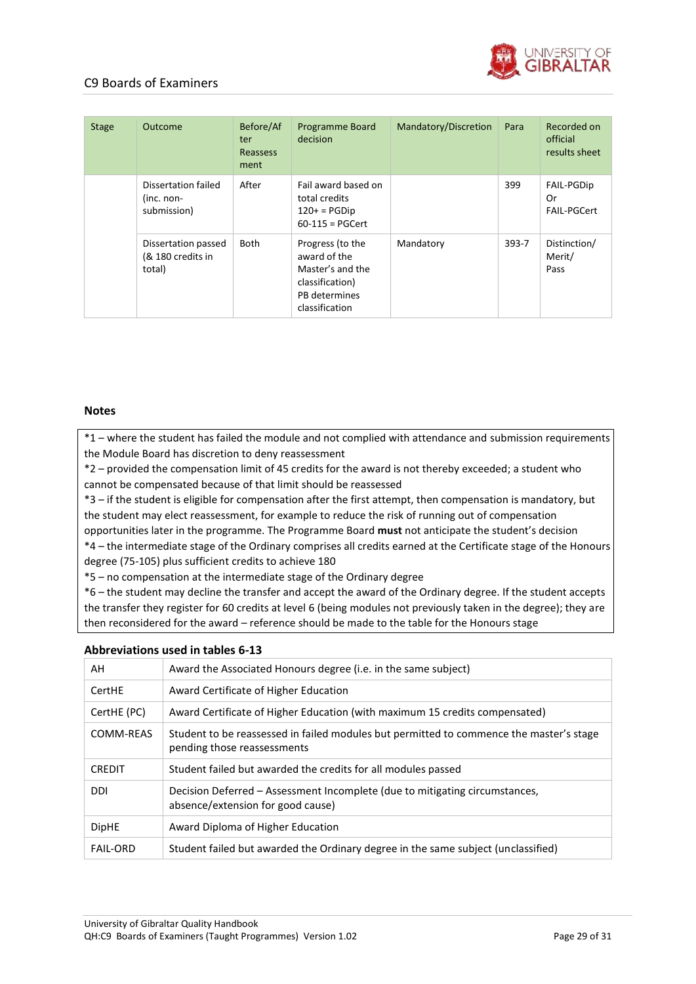

| <b>Stage</b> | Outcome                                            | Before/Af<br>ter<br>Reassess<br>ment | Programme Board<br>decision                                                                                | Mandatory/Discretion | Para      | Recorded on<br>official<br>results sheet |
|--------------|----------------------------------------------------|--------------------------------------|------------------------------------------------------------------------------------------------------------|----------------------|-----------|------------------------------------------|
|              | Dissertation failed<br>$(inc. non-$<br>submission) | After                                | Fail award based on<br>total credits<br>$120+$ = PGDip<br>$60-115 = PGCert$                                |                      | 399       | <b>FAIL-PGDip</b><br>0r<br>FAIL-PGCert   |
|              | Dissertation passed<br>(& 180 credits in<br>total) | Both                                 | Progress (to the<br>award of the<br>Master's and the<br>classification)<br>PB determines<br>classification | Mandatory            | $393 - 7$ | Distinction/<br>Merit/<br>Pass           |

#### **Notes**

\*1 – where the student has failed the module and not complied with attendance and submission requirements the Module Board has discretion to deny reassessment

\*2 – provided the compensation limit of 45 credits for the award is not thereby exceeded; a student who cannot be compensated because of that limit should be reassessed

\*3 – if the student is eligible for compensation after the first attempt, then compensation is mandatory, but the student may elect reassessment, for example to reduce the risk of running out of compensation

opportunities later in the programme. The Programme Board **must** not anticipate the student's decision

\*4 – the intermediate stage of the Ordinary comprises all credits earned at the Certificate stage of the Honours degree (75-105) plus sufficient credits to achieve 180

\*5 – no compensation at the intermediate stage of the Ordinary degree

\*6 – the student may decline the transfer and accept the award of the Ordinary degree. If the student accepts the transfer they register for 60 credits at level 6 (being modules not previously taken in the degree); they are then reconsidered for the award – reference should be made to the table for the Honours stage

#### **Abbreviations used in tables 6-13**

| AH              | Award the Associated Honours degree (i.e. in the same subject)                                                         |
|-----------------|------------------------------------------------------------------------------------------------------------------------|
| CertHE          | Award Certificate of Higher Education                                                                                  |
| CertHE (PC)     | Award Certificate of Higher Education (with maximum 15 credits compensated)                                            |
| COMM-REAS       | Student to be reassessed in failed modules but permitted to commence the master's stage<br>pending those reassessments |
| <b>CREDIT</b>   | Student failed but awarded the credits for all modules passed                                                          |
| <b>DDI</b>      | Decision Deferred – Assessment Incomplete (due to mitigating circumstances,<br>absence/extension for good cause)       |
| <b>DipHE</b>    | Award Diploma of Higher Education                                                                                      |
| <b>FAIL-ORD</b> | Student failed but awarded the Ordinary degree in the same subject (unclassified)                                      |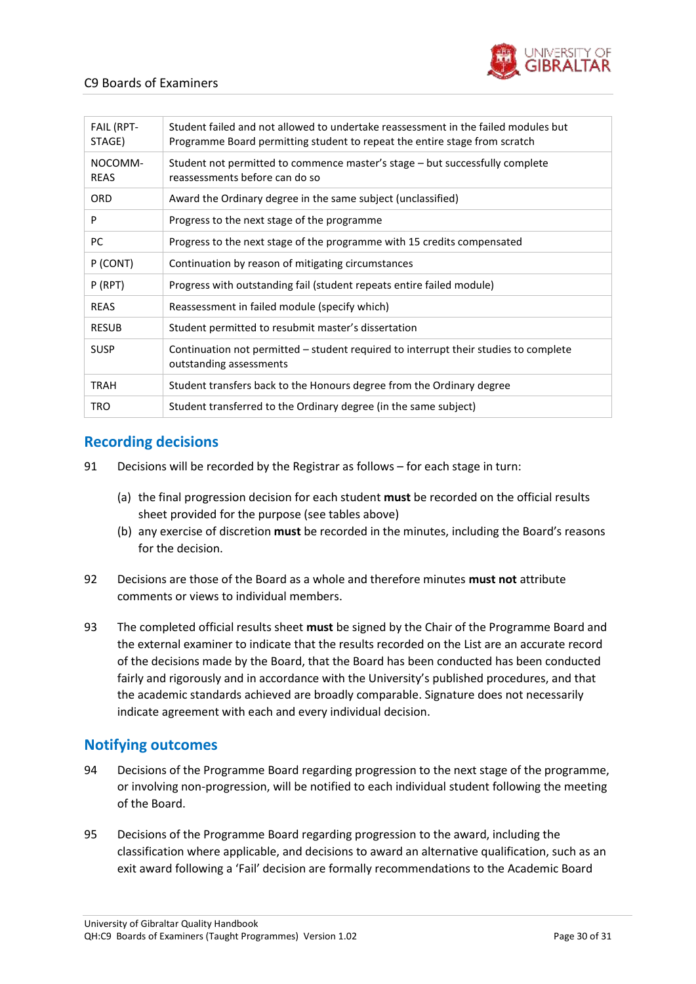

| <b>FAIL (RPT-</b><br>STAGE) | Student failed and not allowed to undertake reassessment in the failed modules but<br>Programme Board permitting student to repeat the entire stage from scratch |
|-----------------------------|------------------------------------------------------------------------------------------------------------------------------------------------------------------|
| NOCOMM-<br><b>REAS</b>      | Student not permitted to commence master's stage – but successfully complete<br>reassessments before can do so                                                   |
| <b>ORD</b>                  | Award the Ordinary degree in the same subject (unclassified)                                                                                                     |
| P                           | Progress to the next stage of the programme                                                                                                                      |
| PC                          | Progress to the next stage of the programme with 15 credits compensated                                                                                          |
| P (CONT)                    | Continuation by reason of mitigating circumstances                                                                                                               |
| P(RPT)                      | Progress with outstanding fail (student repeats entire failed module)                                                                                            |
| <b>REAS</b>                 | Reassessment in failed module (specify which)                                                                                                                    |
| <b>RESUB</b>                | Student permitted to resubmit master's dissertation                                                                                                              |
| <b>SUSP</b>                 | Continuation not permitted – student required to interrupt their studies to complete<br>outstanding assessments                                                  |
| TRAH                        | Student transfers back to the Honours degree from the Ordinary degree                                                                                            |
| TRO                         | Student transferred to the Ordinary degree (in the same subject)                                                                                                 |
|                             |                                                                                                                                                                  |

## <span id="page-29-0"></span>**Recording decisions**

- 91 Decisions will be recorded by the Registrar as follows for each stage in turn:
	- (a) the final progression decision for each student **must** be recorded on the official results sheet provided for the purpose (see tables above)
	- (b) any exercise of discretion **must** be recorded in the minutes, including the Board's reasons for the decision.
- 92 Decisions are those of the Board as a whole and therefore minutes **must not** attribute comments or views to individual members.
- 93 The completed official results sheet **must** be signed by the Chair of the Programme Board and the external examiner to indicate that the results recorded on the List are an accurate record of the decisions made by the Board, that the Board has been conducted has been conducted fairly and rigorously and in accordance with the University's published procedures, and that the academic standards achieved are broadly comparable. Signature does not necessarily indicate agreement with each and every individual decision.

## <span id="page-29-1"></span>**Notifying outcomes**

- 94 Decisions of the Programme Board regarding progression to the next stage of the programme, or involving non-progression, will be notified to each individual student following the meeting of the Board.
- 95 Decisions of the Programme Board regarding progression to the award, including the classification where applicable, and decisions to award an alternative qualification, such as an exit award following a 'Fail' decision are formally recommendations to the Academic Board